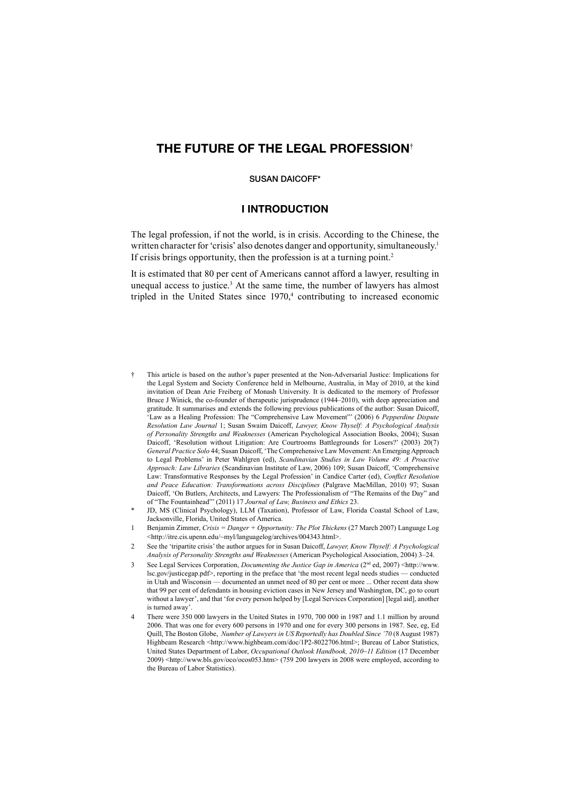# **THE FUTURE OF THE LEGAL PROFESSION**†

#### **SUSAN DAICOFF\***

#### **I INTRODUCTION**

The legal profession, if not the world, is in crisis. According to the Chinese, the written character for 'crisis' also denotes danger and opportunity, simultaneously.<sup>1</sup> If crisis brings opportunity, then the profession is at a turning point.<sup>2</sup>

It is estimated that 80 per cent of Americans cannot afford a lawyer, resulting in unequal access to justice.<sup>3</sup> At the same time, the number of lawyers has almost tripled in the United States since  $1970<sub>1</sub><sup>4</sup>$  contributing to increased economic

- † This article is based on the author's paper presented at the Non-Adversarial Justice: Implications for the Legal System and Society Conference held in Melbourne, Australia, in May of 2010, at the kind invitation of Dean Arie Freiberg of Monash University. It is dedicated to the memory of Professor Bruce J Winick, the co-founder of therapeutic jurisprudence (1944–2010), with deep appreciation and gratitude. It summarises and extends the following previous publications of the author: Susan Daicoff, 'Law as a Healing Profession: The "Comprehensive Law Movement"' (2006) 6 *Pepperdine Dispute Resolution Law Journal* 1; Susan Swaim Daicoff, *Lawyer, Know Thyself: A Psychological Analysis of Personality Strengths and Weaknesses* (American Psychological Association Books, 2004); Susan Daicoff, 'Resolution without Litigation: Are Courtrooms Battlegrounds for Losers?' (2003) 20(7) *General Practice Solo* 44; Susan Daicoff, 'The Comprehensive Law Movement: An Emerging Approach to Legal Problems' in Peter Wahlgren (ed), *Scandinavian Studies in Law Volume 49: A Proactive Approach: Law Libraries* (Scandinavian Institute of Law, 2006) 109; Susan Daicoff, 'Comprehensive Law: Transformative Responses by the Legal Profession' in Candice Carter (ed), *Conflict Resolution and Peace Education: Transformations across Disciplines* (Palgrave MacMillan, 2010) 97; Susan Daicoff, 'On Butlers, Architects, and Lawyers: The Professionalism of "The Remains of the Day" and of "The Fountainhead"' (2011) 17 *Journal of Law, Business and Ethics* 23.
- JD, MS (Clinical Psychology), LLM (Taxation), Professor of Law, Florida Coastal School of Law, Jacksonville, Florida, United States of America.
- 1 Benjamin Zimmer, *Crisis = Danger + Opportunity: The Plot Thickens* (27 March 2007) Language Log <http://itre.cis.upenn.edu/~myl/languagelog/archives/004343.html>.
- 2 See the 'tripartite crisis' the author argues for in Susan Daicoff, *Lawyer, Know Thyself: A Psychological Analysis of Personality Strengths and Weaknesses* (American Psychological Association, 2004) 3–24.
- 3 See Legal Services Corporation, *Documenting the Justice Gap in America* (2nd ed, 2007) <http://www. lsc.gov/justicegap.pdf>, reporting in the preface that 'the most recent legal needs studies — conducted in Utah and Wisconsin — documented an unmet need of 80 per cent or more ... Other recent data show that 99 per cent of defendants in housing eviction cases in New Jersey and Washington, DC, go to court without a lawyer', and that 'for every person helped by [Legal Services Corporation] [legal aid], another is turned away'.
- 4 There were 350 000 lawyers in the United States in 1970, 700 000 in 1987 and 1.1 million by around 2006. That was one for every 600 persons in 1970 and one for every 300 persons in 1987. See, eg, Ed Quill, The Boston Globe, *Number of Lawyers in US Reportedly has Doubled Since '70* (8 August 1987) Highbeam Research <http://www.highbeam.com/doc/1P2-8022706.html>; Bureau of Labor Statistics, United States Department of Labor, *Occupational Outlook Handbook, 2010*−*11 Edition* (17 December 2009) <http://www.bls.gov/oco/ocos053.htm> (759 200 lawyers in 2008 were employed, according to the Bureau of Labor Statistics).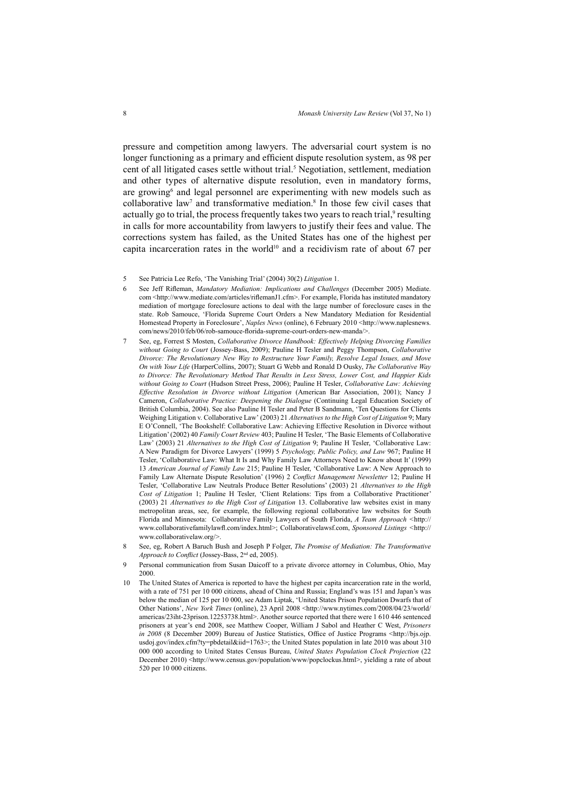pressure and competition among lawyers. The adversarial court system is no longer functioning as a primary and efficient dispute resolution system, as 98 per cent of all litigated cases settle without trial.<sup>5</sup> Negotiation, settlement, mediation and other types of alternative dispute resolution, even in mandatory forms, are growing<sup>6</sup> and legal personnel are experimenting with new models such as collaborative law<sup>7</sup> and transformative mediation.<sup>8</sup> In those few civil cases that actually go to trial, the process frequently takes two years to reach trial,<sup>9</sup> resulting in calls for more accountability from lawyers to justify their fees and value. The corrections system has failed, as the United States has one of the highest per capita incarceration rates in the world<sup>10</sup> and a recidivism rate of about 67 per

- 5 See Patricia Lee Refo, 'The Vanishing Trial' (2004) 30(2) *Litigation* 1.
- 6 See Jeff Rifleman, *Mandatory Mediation: Implications and Challenges* (December 2005) Mediate. com <http://www.mediate.com/articles/riflemanJ1.cfm>. For example, Florida has instituted mandatory mediation of mortgage foreclosure actions to deal with the large number of foreclosure cases in the state. Rob Samouce, 'Florida Supreme Court Orders a New Mandatory Mediation for Residential Homestead Property in Foreclosure', *Naples News* (online), 6 February 2010 <http://www.naplesnews. com/news/2010/feb/06/rob-samouce-florida-supreme-court-orders-new-manda/>.
- 7 See, eg, Forrest S Mosten, *Collaborative Divorce Handbook: Effectively Helping Divorcing Families without Going to Court* (Jossey-Bass, 2009); Pauline H Tesler and Peggy Thompson, *Collaborative Divorce: The Revolutionary New Way to Restructure Your Family, Resolve Legal Issues, and Move On with Your Life* (HarperCollins, 2007); Stuart G Webb and Ronald D Ousky, *The Collaborative Way to Divorce: The Revolutionary Method That Results in Less Stress, Lower Cost, and Happier Kids without Going to Court* (Hudson Street Press, 2006); Pauline H Tesler, *Collaborative Law: Achieving Effective Resolution in Divorce without Litigation* (American Bar Association, 2001); Nancy J Cameron, *Collaborative Practice: Deepening the Dialogue* (Continuing Legal Education Society of British Columbia, 2004). See also Pauline H Tesler and Peter B Sandmann, 'Ten Questions for Clients Weighing Litigation v. Collaborative Law' (2003) 21 *Alternatives to the High Cost of Litigation* 9; Mary E O'Connell, 'The Bookshelf: Collaborative Law: Achieving Effective Resolution in Divorce without Litigation' (2002) 40 *Family Court Review* 403; Pauline H Tesler, 'The Basic Elements of Collaborative Law' (2003) 21 *Alternatives to the High Cost of Litigation* 9; Pauline H Tesler, 'Collaborative Law: A New Paradigm for Divorce Lawyers' (1999) 5 *Psychology, Public Policy, and Law* 967; Pauline H Tesler, 'Collaborative Law: What It Is and Why Family Law Attorneys Need to Know about It' (1999) 13 *American Journal of Family Law* 215; Pauline H Tesler, 'Collaborative Law: A New Approach to Family Law Alternate Dispute Resolution' (1996) 2 *Conflict Management Newsletter* 12; Pauline H Tesler, 'Collaborative Law Neutrals Produce Better Resolutions' (2003) 21 *Alternatives to the High Cost of Litigation* 1; Pauline H Tesler, 'Client Relations: Tips from a Collaborative Practitioner' (2003) 21 *Alternatives to the High Cost of Litigation* 13. Collaborative law websites exist in many metropolitan areas, see, for example, the following regional collaborative law websites for South Florida and Minnesota: Collaborative Family Lawyers of South Florida, *A Team Approach <*http:// www.collaborativefamilylawfl .com/index.html>; Collaborativelawsf.com, *Sponsored Listings <*http:// www.collaborativelaw.org/>.
- 8 See, eg, Robert A Baruch Bush and Joseph P Folger, *The Promise of Mediation: The Transformative Approach to Conflict* (Jossey-Bass, 2<sup>nd</sup> ed. 2005).
- 9 Personal communication from Susan Daicoff to a private divorce attorney in Columbus, Ohio, May 2000.
- 10 The United States of America is reported to have the highest per capita incarceration rate in the world, with a rate of 751 per 10 000 citizens, ahead of China and Russia; England's was 151 and Japan's was below the median of 125 per 10 000, see Adam Liptak, 'United States Prison Population Dwarfs that of Other Nations', *New York Times* (online), 23 April 2008 <http://www.nytimes.com/2008/04/23/world/ americas/23iht-23prison.12253738.html>. Another source reported that there were 1 610 446 sentenced prisoners at year's end 2008, see Matthew Cooper, William J Sabol and Heather C West, *Prisoners in 2008* (8 December 2009) Bureau of Justice Statistics, Office of Justice Programs <http://bjs.ojp. usdoj.gov/index.cfm?ty=pbdetail&iid=1763>; the United States population in late 2010 was about 310 000 000 according to United States Census Bureau, *United States Population Clock Projection* (22 December 2010) <http://www.census.gov/population/www/popclockus.html>, yielding a rate of about 520 per 10 000 citizens.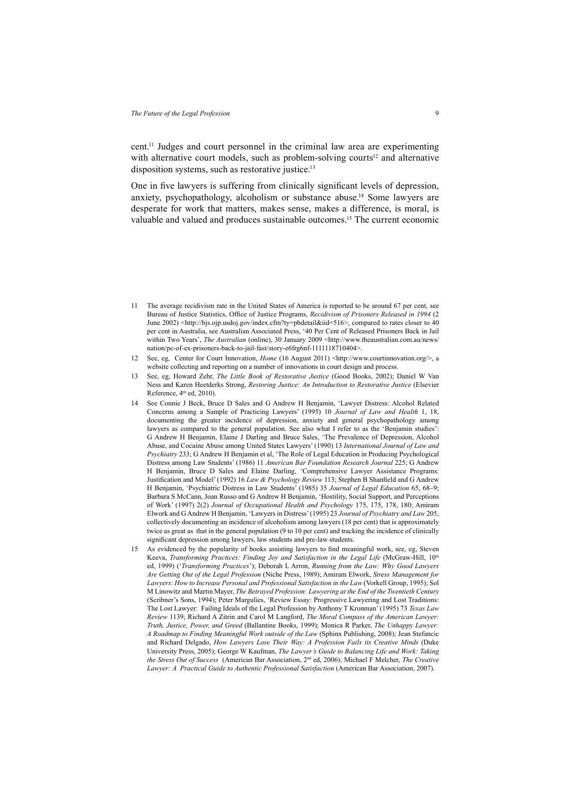cent.11 Judges and court personnel in the criminal law area are experimenting with alternative court models, such as problem-solving courts<sup>12</sup> and alternative disposition systems, such as restorative justice.<sup>13</sup>

One in five lawyers is suffering from clinically significant levels of depression, anxiety, psychopathology, alcoholism or substance abuse.<sup>14</sup> Some lawyers are desperate for work that matters, makes sense, makes a difference, is moral, is valuable and valued and produces sustainable outcomes.15 The current economic

- 11 The average recidivism rate in the United States of America is reported to be around 67 per cent, see Bureau of Justice Statistics, Office of Justice Programs, *Recidivism of Prisoners Released in 1994* (2 June 2002) <http://bjs.ojp.usdoj.gov/index.cfm?ty=pbdetail&iid=516>, compared to rates closer to 40 per cent in Australia, see Australian Associated Press, '40 Per Cent of Released Prisoners Back in Jail within Two Years', *The Australian* (online), 30 January 2009 <http://www.theaustralian.com.au/news/ nation/pc-of-ex-prisoners-back-to-jail-fast/story-e6frg6nf-1111118710404>
- 12 See, eg, Center for Court Innovation, *Home* (16 August 2011) <http://www.courtinnovation.org/>, a website collecting and reporting on a number of innovations in court design and process.
- 13 See, eg, Howard Zehr, *The Little Book of Restorative Justice* (Good Books, 2002); Daniel W Van Ness and Karen Heetderks Strong, *Restoring Justice: An Introduction to Restorative Justice* (Elsevier Reference,  $4<sup>th</sup>$  ed,  $2010$ ).
- 14 See Connie J Beck, Bruce D Sales and G Andrew H Benjamin, 'Lawyer Distress: Alcohol Related Concerns among a Sample of Practicing Lawyers' (1995) 10 *Journal of Law and Health* 1, 18, documenting the greater incidence of depression, anxiety and general psychopathology among lawyers as compared to the general population. See also what I refer to as the 'Benjamin studies': G Andrew H Benjamin, Elaine J Darling and Bruce Sales, 'The Prevalence of Depression, Alcohol Abuse, and Cocaine Abuse among United States Lawyers' (1990) 13 *International Journal of Law and Psychiatry* 233; G Andrew H Benjamin et al, 'The Role of Legal Education in Producing Psychological Distress among Law Students' (1986) 11 *American Bar Foundation Research Journal* 225; G Andrew H Benjamin, Bruce D Sales and Elaine Darling, 'Comprehensive Lawyer Assistance Programs: Justification and Model' (1992) 16 *Law & Psychology Review* 113; Stephen B Shanfield and G Andrew H Benjamin, 'Psychiatric Distress in Law Students' (1985) 35 *Journal of Legal Education* 65, 68−9; Barbara S McCann, Joan Russo and G Andrew H Benjamin, 'Hostility, Social Support, and Perceptions of Work' (1997) 2(2) *Journal of Occupational Health and Psychology* 175, 175, 178, 180; Amiram Elwork and G Andrew H Benjamin, 'Lawyers in Distress' (1995) 23 *Journal of Psychiatry and Law* 205, collectively documenting an incidence of alcoholism among lawyers (18 per cent) that is approximately twice as great as that in the general population (9 to 10 per cent) and tracking the incidence of clinically significant depression among lawyers, law students and pre-law students.
- As evidenced by the popularity of books assisting lawyers to find meaningful work, see, eg, Steven Keeva, *Transforming Practices: Finding Joy and Satisfaction in the Legal Life* (McGraw-Hill, 10<sup>th</sup> ed, 1999) ('*Transforming Practices*'); Deborah L Arron, *Running from the Law: Why Good Lawyers Are Getting Out of the Legal Profession* (Niche Press, 1989); Amiram Elwork, *Stress Management for Lawyers*: *How to Increase Personal and Professional Satisfaction in the Law* (Vorkell Group, 1995); Sol M Linowitz and Martin Mayer, *The Betrayed Profession: Lawyering at the End of the Twentieth Century* (Scribner's Sons, 1994); Peter Margulies, 'Review Essay: Progressive Lawyering and Lost Traditions: The Lost Lawyer: Failing Ideals of the Legal Profession by Anthony T Kronman' (1995) 73 *Texas Law Review* 1139; Richard A Zitrin and Carol M Langford, *The Moral Compass of the American Lawyer: Truth, Justice, Power, and Greed* (Ballantine Books, 1999); Monica R Parker, *The Unhappy Lawyer: A Roadmap to Finding Meaningful Work outside of the Law* (Sphinx Publishing, 2008); Jean Stefancic and Richard Delgado, *How Lawyers Lose Their Way: A Profession Fails its Creative Minds* (Duke University Press, 2005); George W Kaufman, *The Lawyer's Guide to Balancing Life and Work: Taking the Stress Out of Success* (American Bar Association, 2nd ed, 2006); Michael F Melcher, *The Creative Lawyer: A Practical Guide to Authentic Professional Satisfaction* (American Bar Association, 2007).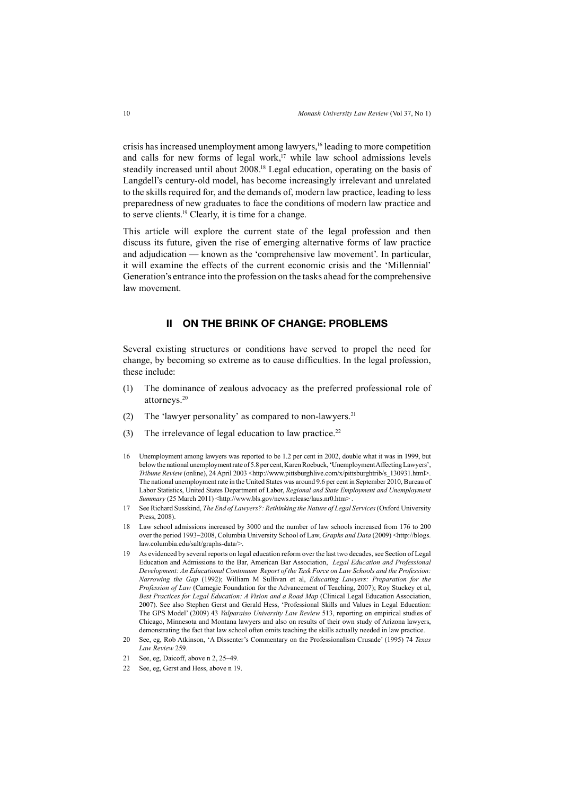crisis has increased unemployment among lawyers,<sup>16</sup> leading to more competition and calls for new forms of legal work,<sup>17</sup> while law school admissions levels steadily increased until about 2008.18 Legal education, operating on the basis of Langdell's century-old model, has become increasingly irrelevant and unrelated to the skills required for, and the demands of, modern law practice, leading to less preparedness of new graduates to face the conditions of modern law practice and to serve clients.19 Clearly, it is time for a change.

This article will explore the current state of the legal profession and then discuss its future, given the rise of emerging alternative forms of law practice and adjudication — known as the 'comprehensive law movement'. In particular, it will examine the effects of the current economic crisis and the 'Millennial' Generation's entrance into the profession on the tasks ahead for the comprehensive law movement.

# **II ON THE BRINK OF CHANGE: PROBLEMS**

Several existing structures or conditions have served to propel the need for change, by becoming so extreme as to cause difficulties. In the legal profession, these include:

- (1) The dominance of zealous advocacy as the preferred professional role of attorneys.20
- (2) The 'lawyer personality' as compared to non-lawyers.21
- (3) The irrelevance of legal education to law practice.<sup>22</sup>
- 16 Unemployment among lawyers was reported to be 1.2 per cent in 2002, double what it was in 1999, but below the national unemployment rate of 5.8 per cent, Karen Roebuck, 'Unemployment Affecting Lawyers', *Tribune Review (online), 24 April 2003* <http://www.pittsburghlive.com/x/pittsburghtrib/s\_130931.html>. The national unemployment rate in the United States was around 9.6 per cent in September 2010, Bureau of Labor Statistics, United States Department of Labor, *Regional and State Employment and Unemployment Summary* (25 March 2011) <http://www.bls.gov/news.release/laus.nr0.htm>
- 17 See Richard Susskind, *The End of Lawyers?: Rethinking the Nature of Legal Services* (Oxford University Press, 2008).
- 18 Law school admissions increased by 3000 and the number of law schools increased from 176 to 200 over the period 1993−2008, Columbia University School of Law, *Graphs and Data* (2009) <http://blogs. law.columbia.edu/salt/graphs-data/>.
- 19 As evidenced by several reports on legal education reform over the last two decades, see Section of Legal Education and Admissions to the Bar, American Bar Association, *Legal Education and Professional Development: An Educational Continuum Report of the Task Force on Law Schools and the Profession: Narrowing the Gap* (1992); William M Sullivan et al, *Educating Lawyers: Preparation for the Profession of Law* (Carnegie Foundation for the Advancement of Teaching, 2007); Roy Stuckey et al, *Best Practices for Legal Education: A Vision and a Road Map* (Clinical Legal Education Association, 2007). See also Stephen Gerst and Gerald Hess, 'Professional Skills and Values in Legal Education: The GPS Model' (2009) 43 *Valparaiso University Law Review* 513, reporting on empirical studies of Chicago, Minnesota and Montana lawyers and also on results of their own study of Arizona lawyers, demonstrating the fact that law school often omits teaching the skills actually needed in law practice.
- 20 See, eg, Rob Atkinson, 'A Dissenter's Commentary on the Professionalism Crusade' (1995) 74 *Texas Law Review* 259.
- 21 See, eg, Daicoff, above n 2, 25–49.
- 22 See, eg, Gerst and Hess, above n 19.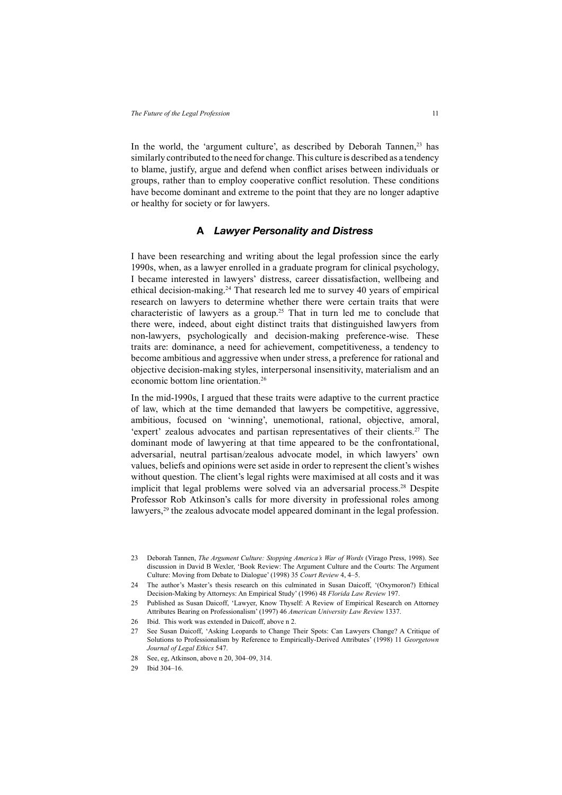In the world, the 'argument culture', as described by Deborah Tannen,<sup>23</sup> has similarly contributed to the need for change. This culture is described as a tendency to blame, justify, argue and defend when conflict arises between individuals or groups, rather than to employ cooperative conflict resolution. These conditions have become dominant and extreme to the point that they are no longer adaptive or healthy for society or for lawyers.

# **A** *Lawyer Personality and Distress*

I have been researching and writing about the legal profession since the early 1990s, when, as a lawyer enrolled in a graduate program for clinical psychology, I became interested in lawyers' distress, career dissatisfaction, wellbeing and ethical decision-making.24 That research led me to survey 40 years of empirical research on lawyers to determine whether there were certain traits that were characteristic of lawyers as a group.<sup>25</sup> That in turn led me to conclude that there were, indeed, about eight distinct traits that distinguished lawyers from non-lawyers, psychologically and decision-making preference-wise. These traits are: dominance, a need for achievement, competitiveness, a tendency to become ambitious and aggressive when under stress, a preference for rational and objective decision-making styles, interpersonal insensitivity, materialism and an economic bottom line orientation.<sup>26</sup>

In the mid-1990s, I argued that these traits were adaptive to the current practice of law, which at the time demanded that lawyers be competitive, aggressive, ambitious, focused on 'winning', unemotional, rational, objective, amoral, 'expert' zealous advocates and partisan representatives of their clients.27 The dominant mode of lawyering at that time appeared to be the confrontational, adversarial, neutral partisan/zealous advocate model, in which lawyers' own values, beliefs and opinions were set aside in order to represent the client's wishes without question. The client's legal rights were maximised at all costs and it was implicit that legal problems were solved via an adversarial process.<sup>28</sup> Despite Professor Rob Atkinson's calls for more diversity in professional roles among lawyers,<sup>29</sup> the zealous advocate model appeared dominant in the legal profession.

- 24 The author's Master's thesis research on this culminated in Susan Daicoff, '(Oxymoron?) Ethical Decision-Making by Attorneys: An Empirical Study' (1996) 48 *Florida Law Review* 197.
- 25 Published as Susan Daicoff, 'Lawyer, Know Thyself: A Review of Empirical Research on Attorney Attributes Bearing on Professionalism' (1997) 46 *American University Law Review* 1337.
- 26 Ibid. This work was extended in Daicoff, above n 2.
- 27 See Susan Daicoff, 'Asking Leopards to Change Their Spots: Can Lawyers Change? A Critique of Solutions to Professionalism by Reference to Empirically-Derived Attributes' (1998) 11 *Georgetown Journal of Legal Ethics* 547.
- 28 See, eg, Atkinson, above n 20, 304–09, 314.
- 29 Ibid 304–16.

<sup>23</sup> Deborah Tannen, *The Argument Culture: Stopping America's War of Words* (Virago Press, 1998). See discussion in David B Wexler, 'Book Review: The Argument Culture and the Courts: The Argument Culture: Moving from Debate to Dialogue' (1998) 35 *Court Review* 4, 4–5.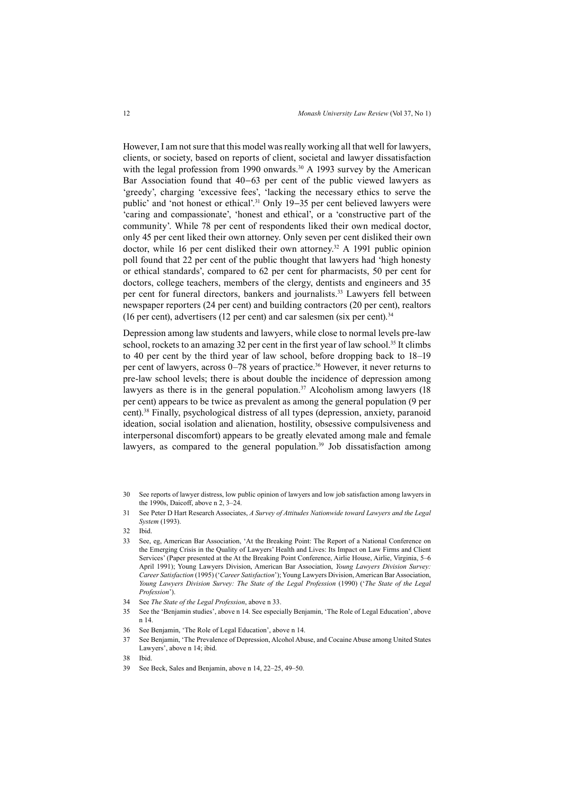However, I am not sure that this model was really working all that well for lawyers, clients, or society, based on reports of client, societal and lawyer dissatisfaction with the legal profession from 1990 onwards.<sup>30</sup> A 1993 survey by the American Bar Association found that 40−63 per cent of the public viewed lawyers as 'greedy', charging 'excessive fees', 'lacking the necessary ethics to serve the public' and 'not honest or ethical'.31 Only 19−35 per cent believed lawyers were 'caring and compassionate', 'honest and ethical', or a 'constructive part of the community'. While 78 per cent of respondents liked their own medical doctor, only 45 per cent liked their own attorney. Only seven per cent disliked their own doctor, while 16 per cent disliked their own attorney.<sup>32</sup> A 1991 public opinion poll found that 22 per cent of the public thought that lawyers had 'high honesty or ethical standards', compared to 62 per cent for pharmacists, 50 per cent for doctors, college teachers, members of the clergy, dentists and engineers and 35 per cent for funeral directors, bankers and journalists.<sup>33</sup> Lawyers fell between newspaper reporters (24 per cent) and building contractors (20 per cent), realtors (16 per cent), advertisers (12 per cent) and car salesmen (six per cent).<sup>34</sup>

Depression among law students and lawyers, while close to normal levels pre-law school, rockets to an amazing 32 per cent in the first year of law school.<sup>35</sup> It climbs to 40 per cent by the third year of law school, before dropping back to 18–19 per cent of lawyers, across 0–78 years of practice.36 However, it never returns to pre-law school levels; there is about double the incidence of depression among lawyers as there is in the general population.<sup>37</sup> Alcoholism among lawyers  $(18)$ per cent) appears to be twice as prevalent as among the general population (9 per cent).38 Finally, psychological distress of all types (depression, anxiety, paranoid ideation, social isolation and alienation, hostility, obsessive compulsiveness and interpersonal discomfort) appears to be greatly elevated among male and female lawyers, as compared to the general population.<sup>39</sup> Job dissatisfaction among

- 30 See reports of lawyer distress, low public opinion of lawyers and low job satisfaction among lawyers in the 1990s, Daicoff, above n 2, 3–24.
- 31 See Peter D Hart Research Associates, *A Survey of Attitudes Nationwide toward Lawyers and the Legal System* (1993).

- 33 See, eg, American Bar Association, 'At the Breaking Point: The Report of a National Conference on the Emerging Crisis in the Quality of Lawyers' Health and Lives: Its Impact on Law Firms and Client Services' (Paper presented at the At the Breaking Point Conference, Airlie House, Airlie, Virginia, 5–6 April 1991); Young Lawyers Division, American Bar Association, *Young Lawyers Division Survey: Career Satisfaction* (1995) ('*Career Satisfaction*'); Young Lawyers Division, American Bar Association, *Young Lawyers Division Survey: The State of the Legal Profession* (1990) ('*The State of the Legal Profession*').
- 34 See *The State of the Legal Profession*, above n 33.
- 35 See the 'Benjamin studies', above n 14. See especially Benjamin, 'The Role of Legal Education', above n 14.
- 36 See Benjamin, 'The Role of Legal Education', above n 14.
- 37 See Benjamin, 'The Prevalence of Depression, Alcohol Abuse, and Cocaine Abuse among United States Lawyers', above n 14; ibid.
- 38 Ibid.
- 39 See Beck, Sales and Benjamin, above n 14, 22–25, 49–50.

<sup>32</sup> Ibid.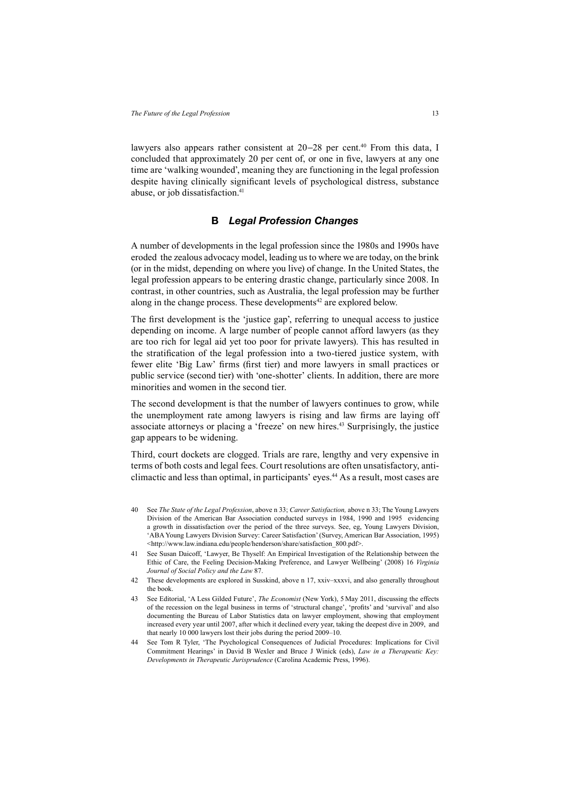lawyers also appears rather consistent at 20−28 per cent.40 From this data, I concluded that approximately 20 per cent of, or one in five, lawyers at any one time are 'walking wounded', meaning they are functioning in the legal profession despite having clinically significant levels of psychological distress, substance abuse, or job dissatisfaction.<sup>41</sup>

### **B** *Legal Profession Changes*

A number of developments in the legal profession since the 1980s and 1990s have eroded the zealous advocacy model, leading us to where we are today, on the brink (or in the midst, depending on where you live) of change. In the United States, the legal profession appears to be entering drastic change, particularly since 2008. In contrast, in other countries, such as Australia, the legal profession may be further along in the change process. These developments<sup>42</sup> are explored below.

The first development is the 'justice gap', referring to unequal access to justice depending on income. A large number of people cannot afford lawyers (as they are too rich for legal aid yet too poor for private lawyers). This has resulted in the stratification of the legal profession into a two-tiered justice system, with fewer elite 'Big Law' firms (first tier) and more lawyers in small practices or public service (second tier) with 'one-shotter' clients. In addition, there are more minorities and women in the second tier.

The second development is that the number of lawyers continues to grow, while the unemployment rate among lawyers is rising and law firms are laying off associate attorneys or placing a 'freeze' on new hires.43 Surprisingly, the justice gap appears to be widening.

Third, court dockets are clogged. Trials are rare, lengthy and very expensive in terms of both costs and legal fees. Court resolutions are often unsatisfactory, anticlimactic and less than optimal, in participants' eyes.44 As a result, most cases are

- 40 See *The State of the Legal Profession*, above n 33; *Career Satisfaction,* above n 33; The Young Lawyers Division of the American Bar Association conducted surveys in 1984, 1990 and 1995 evidencing a growth in dissatisfaction over the period of the three surveys. See, eg, Young Lawyers Division, 'ABA Young Lawyers Division Survey: Career Satisfaction' (Survey, American Bar Association, 1995) <http://www.law.indiana.edu/people/henderson/share/satisfaction\_800.pdf>.
- 41 See Susan Daicoff, 'Lawyer, Be Thyself: An Empirical Investigation of the Relationship between the Ethic of Care, the Feeling Decision-Making Preference, and Lawyer Wellbeing' (2008) 16 *Virginia Journal of Social Policy and the Law* 87.
- 42 These developments are explored in Susskind, above n 17, xxiv–xxxvi, and also generally throughout the book.
- 43 See Editorial, 'A Less Gilded Future', *The Economist* (New York), 5 May 2011, discussing the effects of the recession on the legal business in terms of 'structural change', 'profits' and 'survival' and also documenting the Bureau of Labor Statistics data on lawyer employment, showing that employment increased every year until 2007, after which it declined every year, taking the deepest dive in 2009, and that nearly 10 000 lawyers lost their jobs during the period 2009–10.
- 44 See Tom R Tyler, 'The Psychological Consequences of Judicial Procedures: Implications for Civil Commitment Hearings' in David B Wexler and Bruce J Winick (eds), *Law in a Therapeutic Key: Developments in Therapeutic Jurisprudence* (Carolina Academic Press, 1996).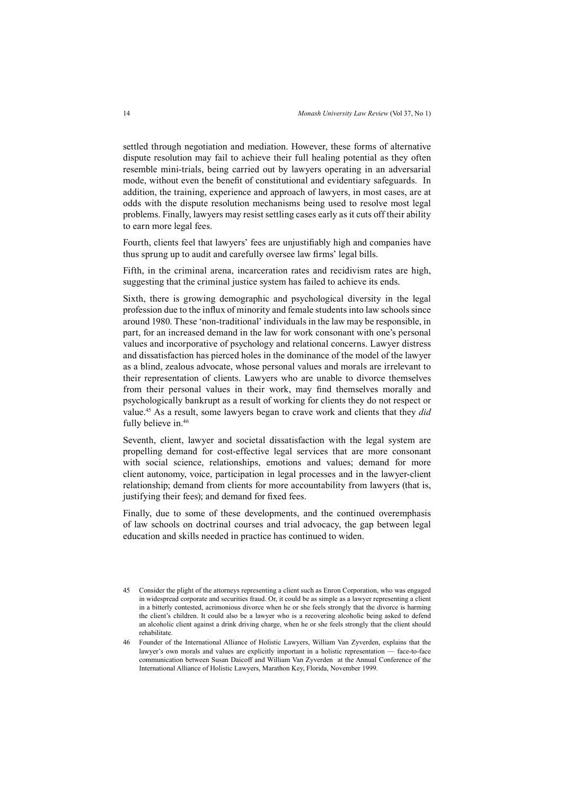settled through negotiation and mediation. However, these forms of alternative dispute resolution may fail to achieve their full healing potential as they often resemble mini-trials, being carried out by lawyers operating in an adversarial mode, without even the benefit of constitutional and evidentiary safeguards. In addition, the training, experience and approach of lawyers, in most cases, are at odds with the dispute resolution mechanisms being used to resolve most legal problems. Finally, lawyers may resist settling cases early as it cuts off their ability to earn more legal fees.

Fourth, clients feel that lawyers' fees are unjustifiably high and companies have thus sprung up to audit and carefully oversee law firms' legal bills.

Fifth, in the criminal arena, incarceration rates and recidivism rates are high, suggesting that the criminal justice system has failed to achieve its ends.

Sixth, there is growing demographic and psychological diversity in the legal profession due to the influx of minority and female students into law schools since around 1980. These 'non-traditional' individuals in the law may be responsible, in part, for an increased demand in the law for work consonant with one's personal values and incorporative of psychology and relational concerns. Lawyer distress and dissatisfaction has pierced holes in the dominance of the model of the lawyer as a blind, zealous advocate, whose personal values and morals are irrelevant to their representation of clients. Lawyers who are unable to divorce themselves from their personal values in their work, may find themselves morally and psychologically bankrupt as a result of working for clients they do not respect or value.45 As a result, some lawyers began to crave work and clients that they *did* fully believe in.<sup>46</sup>

Seventh, client, lawyer and societal dissatisfaction with the legal system are propelling demand for cost-effective legal services that are more consonant with social science, relationships, emotions and values; demand for more client autonomy, voice, participation in legal processes and in the lawyer-client relationship; demand from clients for more accountability from lawyers (that is, justifying their fees); and demand for fixed fees.

Finally, due to some of these developments, and the continued overemphasis of law schools on doctrinal courses and trial advocacy, the gap between legal education and skills needed in practice has continued to widen.

<sup>45</sup> Consider the plight of the attorneys representing a client such as Enron Corporation, who was engaged in widespread corporate and securities fraud. Or, it could be as simple as a lawyer representing a client in a bitterly contested, acrimonious divorce when he or she feels strongly that the divorce is harming the client's children. It could also be a lawyer who is a recovering alcoholic being asked to defend an alcoholic client against a drink driving charge, when he or she feels strongly that the client should rehabilitate.

<sup>46</sup> Founder of the International Alliance of Holistic Lawyers, William Van Zyverden, explains that the lawyer's own morals and values are explicitly important in a holistic representation — face-to-face communication between Susan Daicoff and William Van Zyverden at the Annual Conference of the International Alliance of Holistic Lawyers, Marathon Key, Florida, November 1999.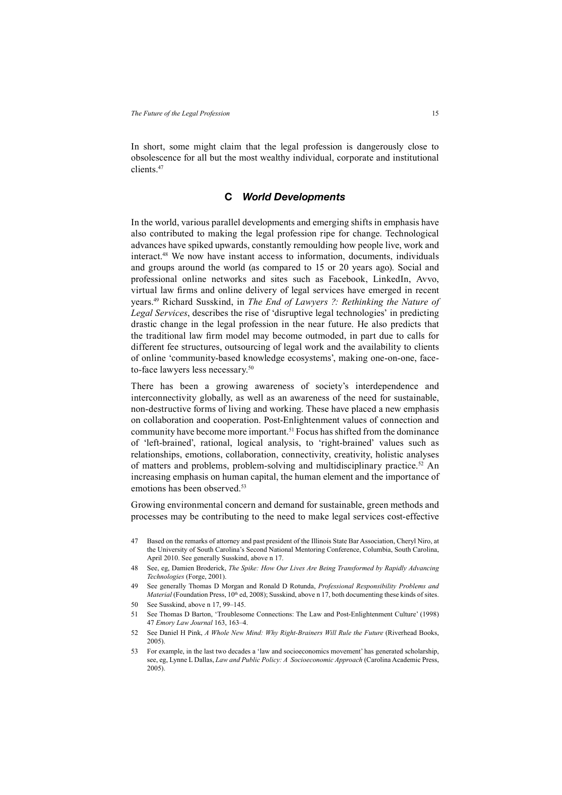In short, some might claim that the legal profession is dangerously close to obsolescence for all but the most wealthy individual, corporate and institutional clients.47

# **C** *World Developments*

In the world, various parallel developments and emerging shifts in emphasis have also contributed to making the legal profession ripe for change. Technological advances have spiked upwards, constantly remoulding how people live, work and interact.48 We now have instant access to information, documents, individuals and groups around the world (as compared to 15 or 20 years ago). Social and professional online networks and sites such as Facebook, LinkedIn, Avvo, virtual law firms and online delivery of legal services have emerged in recent years.49 Richard Susskind, in *The End of Lawyers ?: Rethinking the Nature of Legal Services*, describes the rise of 'disruptive legal technologies' in predicting drastic change in the legal profession in the near future. He also predicts that the traditional law firm model may become outmoded, in part due to calls for different fee structures, outsourcing of legal work and the availability to clients of online 'community-based knowledge ecosystems', making one-on-one, faceto-face lawyers less necessary.<sup>50</sup>

There has been a growing awareness of society's interdependence and interconnectivity globally, as well as an awareness of the need for sustainable, non-destructive forms of living and working. These have placed a new emphasis on collaboration and cooperation. Post-Enlightenment values of connection and community have become more important.51 Focus has shifted from the dominance of 'left-brained', rational, logical analysis, to 'right-brained' values such as relationships, emotions, collaboration, connectivity, creativity, holistic analyses of matters and problems, problem-solving and multidisciplinary practice.<sup>52</sup> An increasing emphasis on human capital, the human element and the importance of emotions has been observed.<sup>53</sup>

Growing environmental concern and demand for sustainable, green methods and processes may be contributing to the need to make legal services cost-effective

- 47 Based on the remarks of attorney and past president of the Illinois State Bar Association, Cheryl Niro, at the University of South Carolina's Second National Mentoring Conference, Columbia, South Carolina, April 2010. See generally Susskind, above n 17.
- 48 See, eg, Damien Broderick, *The Spike: How Our Lives Are Being Transformed by Rapidly Advancing Technologies* (Forge, 2001).
- 49 See generally Thomas D Morgan and Ronald D Rotunda, *Professional Responsibility Problems and Material* (Foundation Press, 10<sup>th</sup> ed, 2008); Susskind, above n 17, both documenting these kinds of sites.
- 50 See Susskind, above n 17, 99–145.
- 51 See Thomas D Barton, 'Troublesome Connections: The Law and Post-Enlightenment Culture' (1998) 47 *Emory Law Journal* 163, 163–4.
- 52 See Daniel H Pink, *A Whole New Mind: Why Right-Brainers Will Rule the Future* (Riverhead Books, 2005).
- 53 For example, in the last two decades a 'law and socioeconomics movement' has generated scholarship, see, eg, Lynne L Dallas, *Law and Public Policy: A Socioeconomic Approach* (Carolina Academic Press, 2005).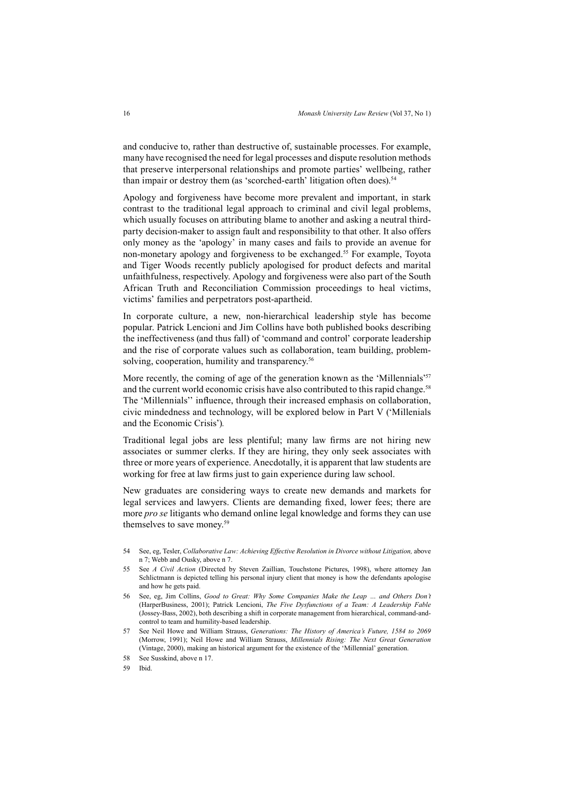and conducive to, rather than destructive of, sustainable processes. For example, many have recognised the need for legal processes and dispute resolution methods that preserve interpersonal relationships and promote parties' wellbeing, rather than impair or destroy them (as 'scorched-earth' litigation often does).<sup>54</sup>

Apology and forgiveness have become more prevalent and important, in stark contrast to the traditional legal approach to criminal and civil legal problems, which usually focuses on attributing blame to another and asking a neutral thirdparty decision-maker to assign fault and responsibility to that other. It also offers only money as the 'apology' in many cases and fails to provide an avenue for non-monetary apology and forgiveness to be exchanged.55 For example, Toyota and Tiger Woods recently publicly apologised for product defects and marital unfaithfulness, respectively. Apology and forgiveness were also part of the South African Truth and Reconciliation Commission proceedings to heal victims, victims' families and perpetrators post-apartheid.

In corporate culture, a new, non-hierarchical leadership style has become popular. Patrick Lencioni and Jim Collins have both published books describing the ineffectiveness (and thus fall) of 'command and control' corporate leadership and the rise of corporate values such as collaboration, team building, problemsolving, cooperation, humility and transparency.<sup>56</sup>

More recently, the coming of age of the generation known as the 'Millennials'<sup>57</sup> and the current world economic crisis have also contributed to this rapid change.<sup>58</sup> The 'Millennials'' influence, through their increased emphasis on collaboration, civic mindedness and technology, will be explored below in Part V ('Millenials and the Economic Crisis')*.* 

Traditional legal jobs are less plentiful; many law firms are not hiring new associates or summer clerks. If they are hiring, they only seek associates with three or more years of experience. Anecdotally, it is apparent that law students are working for free at law firms just to gain experience during law school.

New graduates are considering ways to create new demands and markets for legal services and lawyers. Clients are demanding fixed, lower fees; there are more *pro se* litigants who demand online legal knowledge and forms they can use themselves to save money.<sup>59</sup>

- 54 See, eg, Tesler, *Collaborative Law: Achieving Effective Resolution in Divorce without Litigation,* above n 7; Webb and Ousky, above n 7.
- 55 See *A Civil Action* (Directed by Steven Zaillian, Touchstone Pictures, 1998), where attorney Jan Schlictmann is depicted telling his personal injury client that money is how the defendants apologise and how he gets paid.
- 56 See, eg, Jim Collins, *Good to Great: Why Some Companies Make the Leap … and Others Don't* (HarperBusiness, 2001); Patrick Lencioni, *The Five Dysfunctions of a Team: A Leadership Fable* (Jossey-Bass, 2002), both describing a shift in corporate management from hierarchical, command-andcontrol to team and humility-based leadership.
- 57 See Neil Howe and William Strauss, *Generations: The History of America's Future, 1584 to 2069* (Morrow, 1991); Neil Howe and William Strauss, *Millennials Rising: The Next Great Generation*  (Vintage, 2000), making an historical argument for the existence of the 'Millennial' generation.
- 58 See Susskind, above n 17.
- 59 Ibid.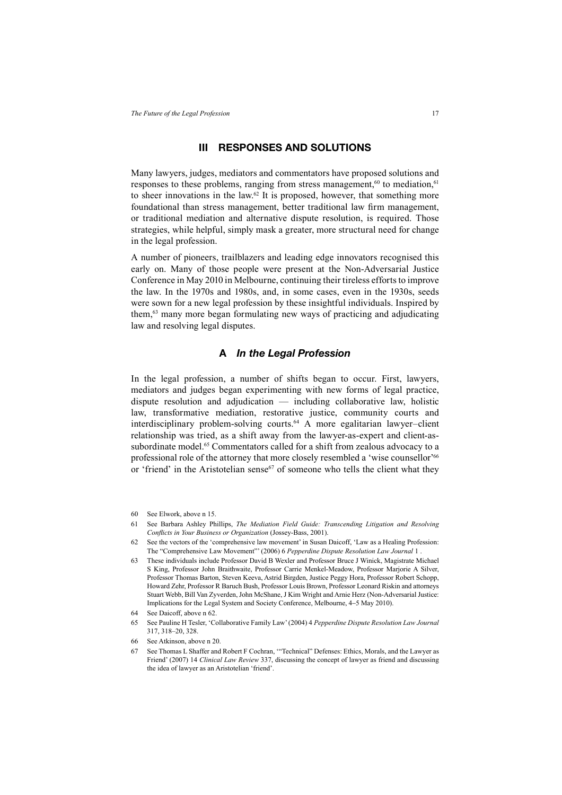### **III RESPONSES AND SOLUTIONS**

Many lawyers, judges, mediators and commentators have proposed solutions and responses to these problems, ranging from stress management, $60$  to mediation, $61$ to sheer innovations in the law.<sup>62</sup> It is proposed, however, that something more foundational than stress management, better traditional law firm management, or traditional mediation and alternative dispute resolution, is required. Those strategies, while helpful, simply mask a greater, more structural need for change in the legal profession.

A number of pioneers, trailblazers and leading edge innovators recognised this early on. Many of those people were present at the Non-Adversarial Justice Conference in May 2010 in Melbourne, continuing their tireless efforts to improve the law. In the 1970s and 1980s, and, in some cases, even in the 1930s, seeds were sown for a new legal profession by these insightful individuals. Inspired by them,63 many more began formulating new ways of practicing and adjudicating law and resolving legal disputes.

#### **A** *In the Legal Profession*

In the legal profession, a number of shifts began to occur. First, lawyers, mediators and judges began experimenting with new forms of legal practice, dispute resolution and adjudication — including collaborative law, holistic law, transformative mediation, restorative justice, community courts and interdisciplinary problem-solving courts.64 A more egalitarian lawyer–client relationship was tried, as a shift away from the lawyer-as-expert and client-assubordinate model.<sup>65</sup> Commentators called for a shift from zealous advocacy to a professional role of the attorney that more closely resembled a 'wise counsellor'<sup>66</sup> or 'friend' in the Aristotelian sense $67$  of someone who tells the client what they

- 61 See Barbara Ashley Phillips, *The Mediation Field Guide: Transcending Litigation and Resolving Confl icts in Your Business or Organization* (Jossey-Bass, 2001).
- 62 See the vectors of the 'comprehensive law movement' in Susan Daicoff, 'Law as a Healing Profession: The "Comprehensive Law Movement"' (2006) 6 *Pepperdine Dispute Resolution Law Journal* 1 .
- 63 These individuals include Professor David B Wexler and Professor Bruce J Winick, Magistrate Michael S King, Professor John Braithwaite, Professor Carrie Menkel-Meadow, Professor Marjorie A Silver, Professor Thomas Barton, Steven Keeva, Astrid Birgden, Justice Peggy Hora, Professor Robert Schopp, Howard Zehr, Professor R Baruch Bush, Professor Louis Brown, Professor Leonard Riskin and attorneys Stuart Webb, Bill Van Zyverden, John McShane, J Kim Wright and Arnie Herz (Non-Adversarial Justice: Implications for the Legal System and Society Conference, Melbourne, 4−5 May 2010).
- 64 See Daicoff, above n 62.
- 65 See Pauline H Tesler, 'Collaborative Family Law' (2004) 4 *Pepperdine Dispute Resolution Law Journal* 317, 318–20, 328.
- 66 See Atkinson, above n 20.
- 67 See Thomas L Shaffer and Robert F Cochran, '"Technical" Defenses: Ethics, Morals, and the Lawyer as Friend' (2007) 14 *Clinical Law Review* 337, discussing the concept of lawyer as friend and discussing the idea of lawyer as an Aristotelian 'friend'.

<sup>60</sup> See Elwork, above n 15.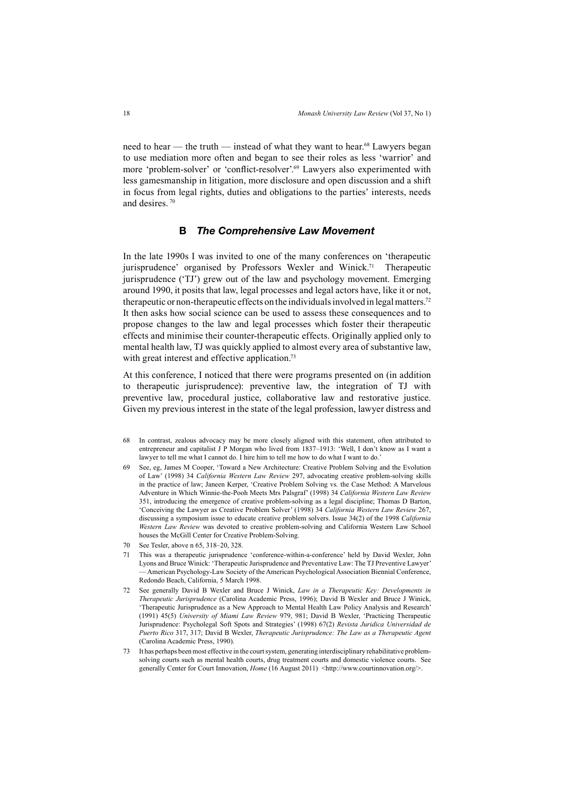need to hear — the truth — instead of what they want to hear.<sup>68</sup> Lawyers began to use mediation more often and began to see their roles as less 'warrior' and more 'problem-solver' or 'conflict-resolver'.<sup>69</sup> Lawyers also experimented with less gamesmanship in litigation, more disclosure and open discussion and a shift in focus from legal rights, duties and obligations to the parties' interests, needs and desires. 70

# **B** *The Comprehensive Law Movement*

In the late 1990s I was invited to one of the many conferences on 'therapeutic jurisprudence' organised by Professors Wexler and Winick.<sup>71</sup> Therapeutic jurisprudence ('TJ') grew out of the law and psychology movement. Emerging around 1990, it posits that law, legal processes and legal actors have, like it or not, therapeutic or non-therapeutic effects on the individuals involved in legal matters.72 It then asks how social science can be used to assess these consequences and to propose changes to the law and legal processes which foster their therapeutic effects and minimise their counter-therapeutic effects. Originally applied only to mental health law, TJ was quickly applied to almost every area of substantive law, with great interest and effective application.<sup>73</sup>

At this conference, I noticed that there were programs presented on (in addition to therapeutic jurisprudence): preventive law, the integration of TJ with preventive law, procedural justice, collaborative law and restorative justice. Given my previous interest in the state of the legal profession, lawyer distress and

- 68 In contrast, zealous advocacy may be more closely aligned with this statement, often attributed to entrepreneur and capitalist J P Morgan who lived from 1837–1913: 'Well, I don't know as I want a lawyer to tell me what I cannot do. I hire him to tell me how to do what I want to do.'
- 69 See, eg, James M Cooper, 'Toward a New Architecture: Creative Problem Solving and the Evolution of Law' (1998) 34 *California Western Law Review* 297, advocating creative problem-solving skills in the practice of law; Janeen Kerper, 'Creative Problem Solving vs. the Case Method: A Marvelous Adventure in Which Winnie-the-Pooh Meets Mrs Palsgraf' (1998) 34 *California Western Law Review*  351, introducing the emergence of creative problem-solving as a legal discipline; Thomas D Barton, 'Conceiving the Lawyer as Creative Problem Solver' (1998) 34 *California Western Law Review* 267, discussing a symposium issue to educate creative problem solvers. Issue 34(2) of the 1998 *California Western Law Review* was devoted to creative problem-solving and California Western Law School houses the McGill Center for Creative Problem-Solving.
- 70 See Tesler, above n 65, 318–20, 328.
- 71 This was a therapeutic jurisprudence 'conference-within-a-conference' held by David Wexler, John Lyons and Bruce Winick: 'Therapeutic Jurisprudence and Preventative Law: The TJ Preventive Lawyer' — American Psychology-Law Society of the American Psychological Association Biennial Conference, Redondo Beach, California, 5 March 1998.
- 72 See generally David B Wexler and Bruce J Winick, *Law in a Therapeutic Key: Developments in Therapeutic Jurisprudence* (Carolina Academic Press, 1996); David B Wexler and Bruce J Winick, 'Therapeutic Jurisprudence as a New Approach to Mental Health Law Policy Analysis and Research' (1991) 45(5) *University of Miami Law Review* 979, 981; David B Wexler, 'Practicing Therapeutic Jurisprudence: Psycholegal Soft Spots and Strategies' (1998) 67(2) *Revista Juridica Universidad de Puerto Rico* 317, 317; David B Wexler, *Therapeutic Jurisprudence: The Law as a Therapeutic Agent*  (Carolina Academic Press, 1990).
- 73 It has perhaps been most effective in the court system, generating interdisciplinary rehabilitative problemsolving courts such as mental health courts, drug treatment courts and domestic violence courts. See generally Center for Court Innovation, *Home* (16 August 2011) <http://www.courtinnovation.org/>.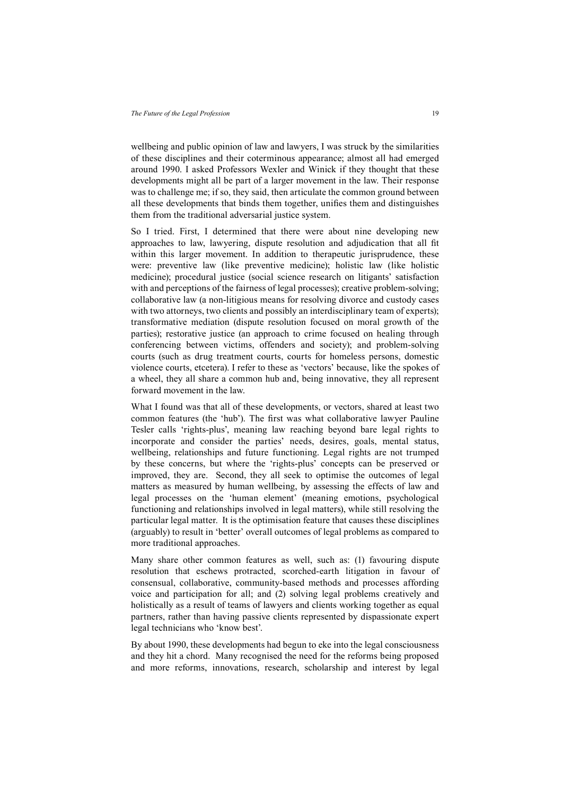wellbeing and public opinion of law and lawyers, I was struck by the similarities of these disciplines and their coterminous appearance; almost all had emerged around 1990. I asked Professors Wexler and Winick if they thought that these developments might all be part of a larger movement in the law. Their response was to challenge me; if so, they said, then articulate the common ground between all these developments that binds them together, unifies them and distinguishes them from the traditional adversarial justice system.

So I tried. First, I determined that there were about nine developing new approaches to law, lawyering, dispute resolution and adjudication that all fit within this larger movement. In addition to therapeutic jurisprudence, these were: preventive law (like preventive medicine); holistic law (like holistic medicine); procedural justice (social science research on litigants' satisfaction with and perceptions of the fairness of legal processes); creative problem-solving; collaborative law (a non-litigious means for resolving divorce and custody cases with two attorneys, two clients and possibly an interdisciplinary team of experts); transformative mediation (dispute resolution focused on moral growth of the parties); restorative justice (an approach to crime focused on healing through conferencing between victims, offenders and society); and problem-solving courts (such as drug treatment courts, courts for homeless persons, domestic violence courts, etcetera). I refer to these as 'vectors' because, like the spokes of a wheel, they all share a common hub and, being innovative, they all represent forward movement in the law.

What I found was that all of these developments, or vectors, shared at least two common features (the 'hub'). The first was what collaborative lawyer Pauline Tesler calls 'rights-plus', meaning law reaching beyond bare legal rights to incorporate and consider the parties' needs, desires, goals, mental status, wellbeing, relationships and future functioning. Legal rights are not trumped by these concerns, but where the 'rights-plus' concepts can be preserved or improved, they are. Second, they all seek to optimise the outcomes of legal matters as measured by human wellbeing, by assessing the effects of law and legal processes on the 'human element' (meaning emotions, psychological functioning and relationships involved in legal matters), while still resolving the particular legal matter. It is the optimisation feature that causes these disciplines (arguably) to result in 'better' overall outcomes of legal problems as compared to more traditional approaches.

Many share other common features as well, such as: (1) favouring dispute resolution that eschews protracted, scorched-earth litigation in favour of consensual, collaborative, community-based methods and processes affording voice and participation for all; and (2) solving legal problems creatively and holistically as a result of teams of lawyers and clients working together as equal partners, rather than having passive clients represented by dispassionate expert legal technicians who 'know best'.

By about 1990, these developments had begun to eke into the legal consciousness and they hit a chord. Many recognised the need for the reforms being proposed and more reforms, innovations, research, scholarship and interest by legal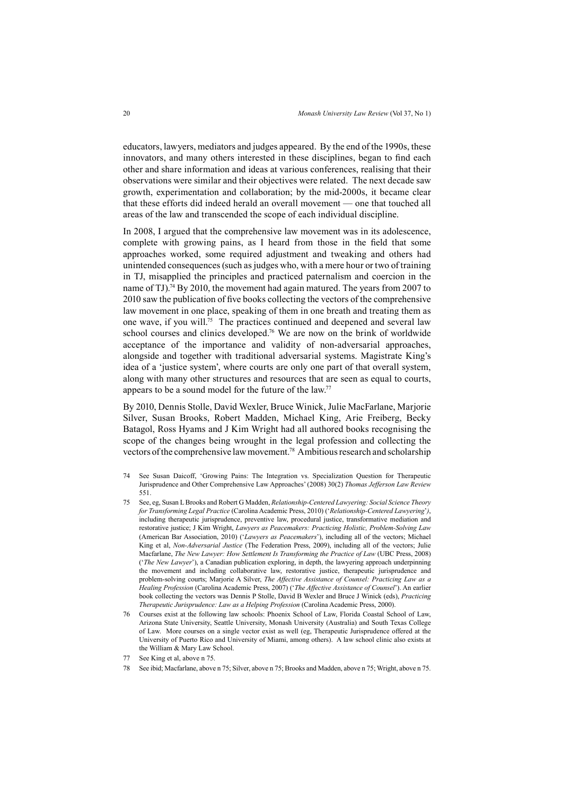educators, lawyers, mediators and judges appeared. By the end of the 1990s, these innovators, and many others interested in these disciplines, began to find each other and share information and ideas at various conferences, realising that their observations were similar and their objectives were related. The next decade saw growth, experimentation and collaboration; by the mid-2000s, it became clear that these efforts did indeed herald an overall movement — one that touched all areas of the law and transcended the scope of each individual discipline.

In 2008, I argued that the comprehensive law movement was in its adolescence, complete with growing pains, as I heard from those in the field that some approaches worked, some required adjustment and tweaking and others had unintended consequences (such as judges who, with a mere hour or two of training in TJ, misapplied the principles and practiced paternalism and coercion in the name of TJ).74 By 2010, the movement had again matured. The years from 2007 to 2010 saw the publication of five books collecting the vectors of the comprehensive law movement in one place, speaking of them in one breath and treating them as one wave, if you will.75 The practices continued and deepened and several law school courses and clinics developed.<sup>76</sup> We are now on the brink of worldwide acceptance of the importance and validity of non-adversarial approaches, alongside and together with traditional adversarial systems. Magistrate King's idea of a 'justice system', where courts are only one part of that overall system, along with many other structures and resources that are seen as equal to courts, appears to be a sound model for the future of the law.77

By 2010, Dennis Stolle, David Wexler, Bruce Winick, Julie MacFarlane, Marjorie Silver, Susan Brooks, Robert Madden, Michael King, Arie Freiberg, Becky Batagol, Ross Hyams and J Kim Wright had all authored books recognising the scope of the changes being wrought in the legal profession and collecting the vectors of the comprehensive law movement.78 Ambitious research and scholarship

- 74 See Susan Daicoff, 'Growing Pains: The Integration vs. Specialization Question for Therapeutic Jurisprudence and Other Comprehensive Law Approaches' (2008) 30(2) *Thomas Jefferson Law Review* 551.
- 75 See, eg, Susan L Brooks and Robert G Madden, *Relationship-Centered Lawyering: Social Science Theory for Transforming Legal Practice* (Carolina Academic Press, 2010) ('*Relationship-Centered Lawyering*'*)*, including therapeutic jurisprudence, preventive law, procedural justice, transformative mediation and restorative justice; J Kim Wright, *Lawyers as Peacemakers: Practicing Holistic, Problem-Solving Law*  (American Bar Association, 2010) ('*Lawyers as Peacemakers*'), including all of the vectors; Michael King et al, *Non-Adversarial Justice* (The Federation Press, 2009), including all of the vectors; Julie Macfarlane, *The New Lawyer: How Settlement Is Transforming the Practice of Law* (UBC Press, 2008) ('*The New Lawyer*'), a Canadian publication exploring, in depth, the lawyering approach underpinning the movement and including collaborative law, restorative justice, therapeutic jurisprudence and problem-solving courts; Marjorie A Silver, *The Affective Assistance of Counsel: Practicing Law as a Healing Profession* (Carolina Academic Press, 2007) ('*The Affective Assistance of Counsel*'). An earlier book collecting the vectors was Dennis P Stolle, David B Wexler and Bruce J Winick (eds), *Practicing Therapeutic Jurisprudence: Law as a Helping Profession* (Carolina Academic Press, 2000).
- 76 Courses exist at the following law schools: Phoenix School of Law, Florida Coastal School of Law, Arizona State University, Seattle University, Monash University (Australia) and South Texas College of Law. More courses on a single vector exist as well (eg, Therapeutic Jurisprudence offered at the University of Puerto Rico and University of Miami, among others). A law school clinic also exists at the William & Mary Law School.
- 77 See King et al, above n 75.
- 78 See ibid; Macfarlane, above n 75; Silver, above n 75; Brooks and Madden, above n 75; Wright, above n 75.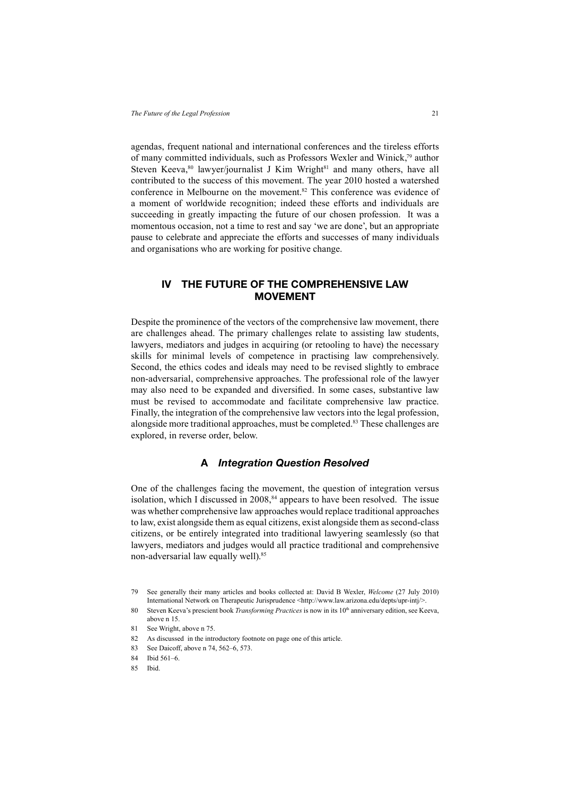agendas, frequent national and international conferences and the tireless efforts of many committed individuals, such as Professors Wexler and Winick,79 author Steven Keeva,<sup>80</sup> lawyer/journalist J Kim Wright<sup>81</sup> and many others, have all contributed to the success of this movement. The year 2010 hosted a watershed conference in Melbourne on the movement.<sup>82</sup> This conference was evidence of a moment of worldwide recognition; indeed these efforts and individuals are succeeding in greatly impacting the future of our chosen profession. It was a momentous occasion, not a time to rest and say 'we are done', but an appropriate pause to celebrate and appreciate the efforts and successes of many individuals and organisations who are working for positive change.

# **IV THE FUTURE OF THE COMPREHENSIVE LAW MOVEMENT**

Despite the prominence of the vectors of the comprehensive law movement, there are challenges ahead. The primary challenges relate to assisting law students, lawyers, mediators and judges in acquiring (or retooling to have) the necessary skills for minimal levels of competence in practising law comprehensively. Second, the ethics codes and ideals may need to be revised slightly to embrace non-adversarial, comprehensive approaches. The professional role of the lawyer may also need to be expanded and diversified. In some cases, substantive law must be revised to accommodate and facilitate comprehensive law practice. Finally, the integration of the comprehensive law vectors into the legal profession, alongside more traditional approaches, must be completed.<sup>83</sup> These challenges are explored, in reverse order, below.

### **A** *Integration Question Resolved*

One of the challenges facing the movement, the question of integration versus isolation, which I discussed in  $2008$ ,  $84$  appears to have been resolved. The issue was whether comprehensive law approaches would replace traditional approaches to law, exist alongside them as equal citizens, exist alongside them as second-class citizens, or be entirely integrated into traditional lawyering seamlessly (so that lawyers, mediators and judges would all practice traditional and comprehensive non-adversarial law equally well).<sup>85</sup>

<sup>79</sup> See generally their many articles and books collected at: David B Wexler, *Welcome* (27 July 2010) International Network on Therapeutic Jurisprudence <http://www.law.arizona.edu/depts/upr-intj/>.

<sup>80</sup> Steven Keeva's prescient book *Transforming Practices* is now in its 10<sup>th</sup> anniversary edition, see Keeva, above n 15.

<sup>81</sup> See Wright, above n 75.

<sup>82</sup> As discussed in the introductory footnote on page one of this article.

<sup>83</sup> See Daicoff, above n 74, 562–6, 573.

<sup>84</sup> Ibid 561–6.

<sup>85</sup> Ibid.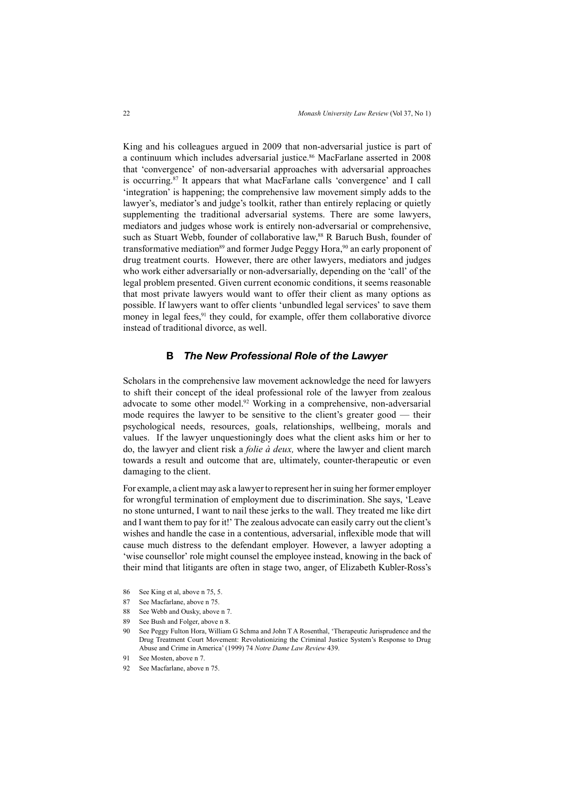King and his colleagues argued in 2009 that non-adversarial justice is part of a continuum which includes adversarial justice.<sup>86</sup> MacFarlane asserted in 2008 that 'convergence' of non-adversarial approaches with adversarial approaches is occurring.87 It appears that what MacFarlane calls 'convergence' and I call 'integration' is happening; the comprehensive law movement simply adds to the lawyer's, mediator's and judge's toolkit, rather than entirely replacing or quietly supplementing the traditional adversarial systems. There are some lawyers, mediators and judges whose work is entirely non-adversarial or comprehensive, such as Stuart Webb, founder of collaborative law,<sup>88</sup> R Baruch Bush, founder of transformative mediation<sup>89</sup> and former Judge Peggy Hora,<sup>90</sup> an early proponent of drug treatment courts. However, there are other lawyers, mediators and judges who work either adversarially or non-adversarially, depending on the 'call' of the legal problem presented. Given current economic conditions, it seems reasonable that most private lawyers would want to offer their client as many options as possible. If lawyers want to offer clients 'unbundled legal services' to save them money in legal fees, $91$  they could, for example, offer them collaborative divorce instead of traditional divorce, as well.

### **B** *The New Professional Role of the Lawyer*

Scholars in the comprehensive law movement acknowledge the need for lawyers to shift their concept of the ideal professional role of the lawyer from zealous advocate to some other model.92 Working in a comprehensive, non-adversarial mode requires the lawyer to be sensitive to the client's greater good — their psychological needs, resources, goals, relationships, wellbeing, morals and values. If the lawyer unquestioningly does what the client asks him or her to do, the lawyer and client risk a *folie à deux,* where the lawyer and client march towards a result and outcome that are, ultimately, counter-therapeutic or even damaging to the client.

For example, a client may ask a lawyer to represent her in suing her former employer for wrongful termination of employment due to discrimination. She says, 'Leave no stone unturned, I want to nail these jerks to the wall. They treated me like dirt and I want them to pay for it!' The zealous advocate can easily carry out the client's wishes and handle the case in a contentious, adversarial, inflexible mode that will cause much distress to the defendant employer. However, a lawyer adopting a 'wise counsellor' role might counsel the employee instead, knowing in the back of their mind that litigants are often in stage two, anger, of Elizabeth Kubler-Ross's

- 86 See King et al, above n 75, 5.
- 87 See Macfarlane, above n 75.
- 88 See Webb and Ousky, above n 7.
- 89 See Bush and Folger, above n 8.
- 90 See Peggy Fulton Hora, William G Schma and John T A Rosenthal, 'Therapeutic Jurisprudence and the Drug Treatment Court Movement: Revolutionizing the Criminal Justice System's Response to Drug Abuse and Crime in America' (1999) 74 *Notre Dame Law Review* 439.
- 91 See Mosten, above n 7.
- 92 See Macfarlane, above n 75.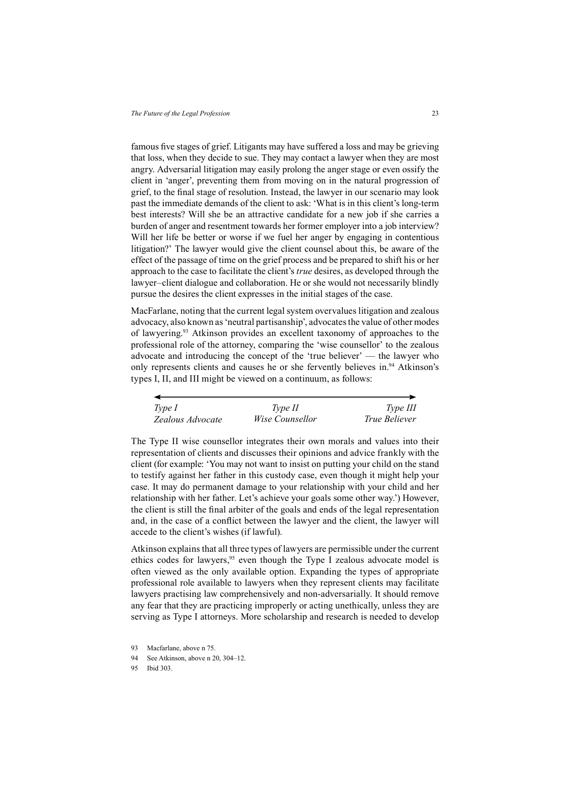famous five stages of grief. Litigants may have suffered a loss and may be grieving that loss, when they decide to sue. They may contact a lawyer when they are most angry. Adversarial litigation may easily prolong the anger stage or even ossify the client in 'anger', preventing them from moving on in the natural progression of grief, to the final stage of resolution. Instead, the lawyer in our scenario may look past the immediate demands of the client to ask: 'What is in this client's long-term best interests? Will she be an attractive candidate for a new job if she carries a burden of anger and resentment towards her former employer into a job interview? Will her life be better or worse if we fuel her anger by engaging in contentious litigation?' The lawyer would give the client counsel about this, be aware of the effect of the passage of time on the grief process and be prepared to shift his or her approach to the case to facilitate the client's *true* desires, as developed through the lawyer–client dialogue and collaboration. He or she would not necessarily blindly pursue the desires the client expresses in the initial stages of the case.

MacFarlane, noting that the current legal system overvalues litigation and zealous advocacy, also known as 'neutral partisanship', advocates the value of other modes of lawyering.93 Atkinson provides an excellent taxonomy of approaches to the professional role of the attorney, comparing the 'wise counsellor' to the zealous advocate and introducing the concept of the 'true believer' — the lawyer who only represents clients and causes he or she fervently believes in.<sup>94</sup> Atkinson's types I, II, and III might be viewed on a continuum, as follows:

| Type I           | Type II                | Type III             |
|------------------|------------------------|----------------------|
| Zealous Advocate | <i>Wise Counsellor</i> | <i>True Believer</i> |

The Type II wise counsellor integrates their own morals and values into their representation of clients and discusses their opinions and advice frankly with the client (for example: 'You may not want to insist on putting your child on the stand to testify against her father in this custody case, even though it might help your case. It may do permanent damage to your relationship with your child and her relationship with her father. Let's achieve your goals some other way.') However, the client is still the final arbiter of the goals and ends of the legal representation and, in the case of a conflict between the lawyer and the client, the lawyer will accede to the client's wishes (if lawful).

Atkinson explains that all three types of lawyers are permissible under the current ethics codes for lawyers,<sup>95</sup> even though the Type I zealous advocate model is often viewed as the only available option. Expanding the types of appropriate professional role available to lawyers when they represent clients may facilitate lawyers practising law comprehensively and non-adversarially. It should remove any fear that they are practicing improperly or acting unethically, unless they are serving as Type I attorneys. More scholarship and research is needed to develop

<sup>93</sup> Macfarlane, above n 75.

<sup>94</sup> See Atkinson, above n 20, 304–12.

<sup>95</sup> Ibid 303.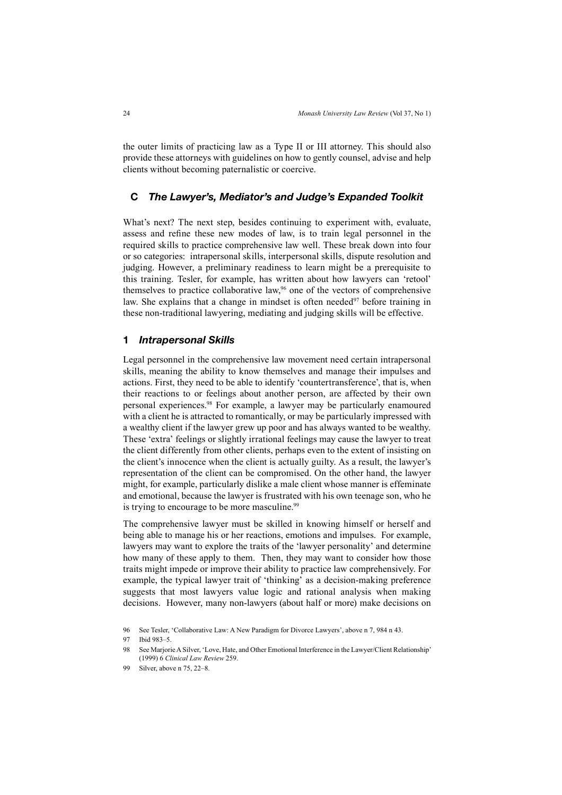the outer limits of practicing law as a Type II or III attorney. This should also provide these attorneys with guidelines on how to gently counsel, advise and help clients without becoming paternalistic or coercive.

#### **C** *The Lawyer's, Mediator's and Judge's Expanded Toolkit*

What's next? The next step, besides continuing to experiment with, evaluate, assess and refine these new modes of law, is to train legal personnel in the required skills to practice comprehensive law well. These break down into four or so categories: intrapersonal skills, interpersonal skills, dispute resolution and judging. However, a preliminary readiness to learn might be a prerequisite to this training. Tesler, for example, has written about how lawyers can 'retool' themselves to practice collaborative law,<sup>96</sup> one of the vectors of comprehensive law. She explains that a change in mindset is often needed $97$  before training in these non-traditional lawyering, mediating and judging skills will be effective.

### **1** *Intrapersonal Skills*

Legal personnel in the comprehensive law movement need certain intrapersonal skills, meaning the ability to know themselves and manage their impulses and actions. First, they need to be able to identify 'countertransference', that is, when their reactions to or feelings about another person, are affected by their own personal experiences.98 For example, a lawyer may be particularly enamoured with a client he is attracted to romantically, or may be particularly impressed with a wealthy client if the lawyer grew up poor and has always wanted to be wealthy. These 'extra' feelings or slightly irrational feelings may cause the lawyer to treat the client differently from other clients, perhaps even to the extent of insisting on the client's innocence when the client is actually guilty. As a result, the lawyer's representation of the client can be compromised. On the other hand, the lawyer might, for example, particularly dislike a male client whose manner is effeminate and emotional, because the lawyer is frustrated with his own teenage son, who he is trying to encourage to be more masculine.<sup>99</sup>

The comprehensive lawyer must be skilled in knowing himself or herself and being able to manage his or her reactions, emotions and impulses. For example, lawyers may want to explore the traits of the 'lawyer personality' and determine how many of these apply to them. Then, they may want to consider how those traits might impede or improve their ability to practice law comprehensively. For example, the typical lawyer trait of 'thinking' as a decision-making preference suggests that most lawyers value logic and rational analysis when making decisions. However, many non-lawyers (about half or more) make decisions on

<sup>96</sup> See Tesler, 'Collaborative Law: A New Paradigm for Divorce Lawyers', above n 7, 984 n 43.

<sup>97</sup> Ibid 983–5.

<sup>98</sup> See Marjorie A Silver, 'Love, Hate, and Other Emotional Interference in the Lawyer/Client Relationship' (1999) 6 *Clinical Law Review* 259.

Silver, above n  $75, 22-8$ .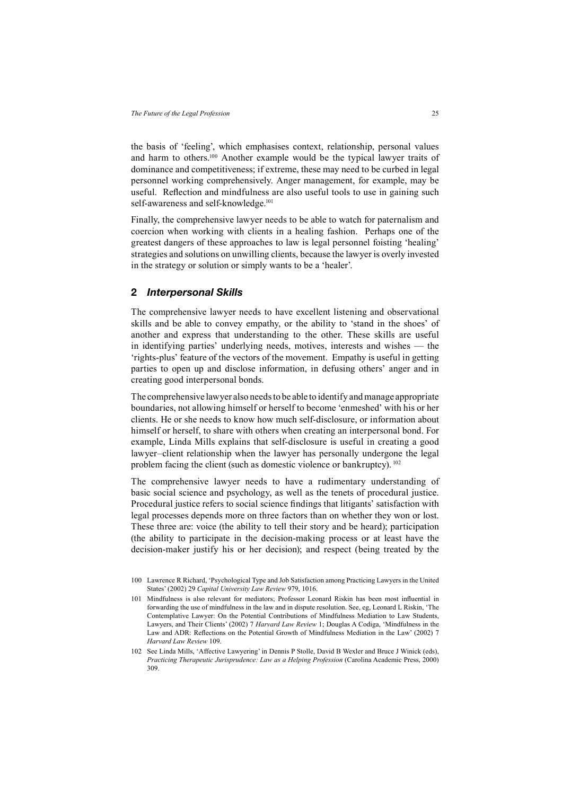the basis of 'feeling', which emphasises context, relationship, personal values and harm to others.100 Another example would be the typical lawyer traits of dominance and competitiveness; if extreme, these may need to be curbed in legal personnel working comprehensively. Anger management, for example, may be useful. Reflection and mindfulness are also useful tools to use in gaining such self-awareness and self-knowledge.<sup>101</sup>

Finally, the comprehensive lawyer needs to be able to watch for paternalism and coercion when working with clients in a healing fashion. Perhaps one of the greatest dangers of these approaches to law is legal personnel foisting 'healing' strategies and solutions on unwilling clients, because the lawyer is overly invested in the strategy or solution or simply wants to be a 'healer'.

### **2** *Interpersonal Skills*

The comprehensive lawyer needs to have excellent listening and observational skills and be able to convey empathy, or the ability to 'stand in the shoes' of another and express that understanding to the other. These skills are useful in identifying parties' underlying needs, motives, interests and wishes — the 'rights-plus' feature of the vectors of the movement. Empathy is useful in getting parties to open up and disclose information, in defusing others' anger and in creating good interpersonal bonds.

The comprehensive lawyer also needs to be able to identify and manage appropriate boundaries, not allowing himself or herself to become 'enmeshed' with his or her clients. He or she needs to know how much self-disclosure, or information about himself or herself, to share with others when creating an interpersonal bond. For example, Linda Mills explains that self-disclosure is useful in creating a good lawyer–client relationship when the lawyer has personally undergone the legal problem facing the client (such as domestic violence or bankruptcy). <sup>102</sup>

The comprehensive lawyer needs to have a rudimentary understanding of basic social science and psychology, as well as the tenets of procedural justice. Procedural justice refers to social science findings that litigants' satisfaction with legal processes depends more on three factors than on whether they won or lost. These three are: voice (the ability to tell their story and be heard); participation (the ability to participate in the decision-making process or at least have the decision-maker justify his or her decision); and respect (being treated by the

<sup>100</sup> Lawrence R Richard, 'Psychological Type and Job Satisfaction among Practicing Lawyers in the United States' (2002) 29 *Capital University Law Review* 979, 1016.

<sup>101</sup> Mindfulness is also relevant for mediators; Professor Leonard Riskin has been most influential in forwarding the use of mindfulness in the law and in dispute resolution. See, eg, Leonard L Riskin, 'The Contemplative Lawyer: On the Potential Contributions of Mindfulness Mediation to Law Students, Lawyers, and Their Clients' (2002) 7 *Harvard Law Review* 1; Douglas A Codiga, 'Mindfulness in the Law and ADR: Reflections on the Potential Growth of Mindfulness Mediation in the Law' (2002) 7 *Harvard Law Review* 109.

<sup>102</sup> See Linda Mills, 'Affective Lawyering' in Dennis P Stolle, David B Wexler and Bruce J Winick (eds), Practicing Therapeutic Jurisprudence: Law as a Helping Profession (Carolina Academic Press, 2000) 309.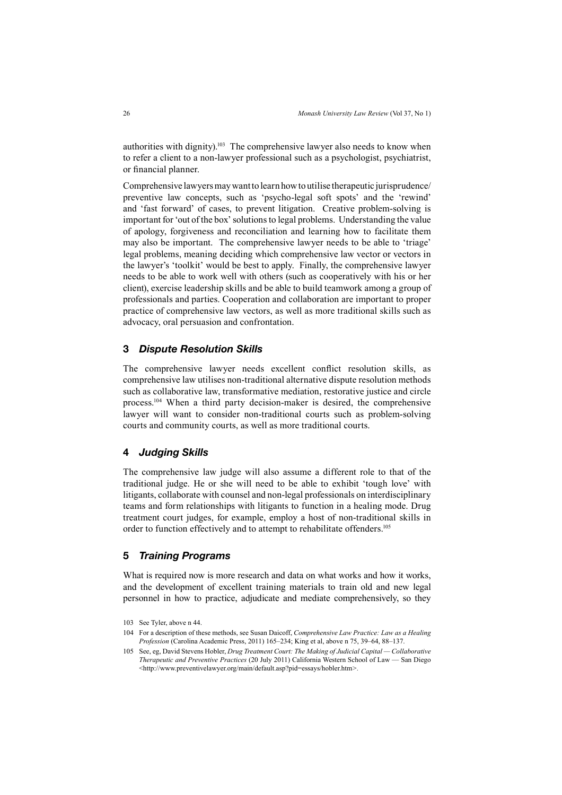authorities with dignity).<sup>103</sup> The comprehensive lawyer also needs to know when to refer a client to a non-lawyer professional such as a psychologist, psychiatrist, or financial planner.

Comprehensive lawyers may want to learn how to utilise therapeutic jurisprudence/ preventive law concepts, such as 'psycho-legal soft spots' and the 'rewind' and 'fast forward' of cases, to prevent litigation. Creative problem-solving is important for 'out of the box' solutions to legal problems. Understanding the value of apology, forgiveness and reconciliation and learning how to facilitate them may also be important. The comprehensive lawyer needs to be able to 'triage' legal problems, meaning deciding which comprehensive law vector or vectors in the lawyer's 'toolkit' would be best to apply. Finally, the comprehensive lawyer needs to be able to work well with others (such as cooperatively with his or her client), exercise leadership skills and be able to build teamwork among a group of professionals and parties. Cooperation and collaboration are important to proper practice of comprehensive law vectors, as well as more traditional skills such as advocacy, oral persuasion and confrontation.

#### **3** *Dispute Resolution Skills*

The comprehensive lawyer needs excellent conflict resolution skills, as comprehensive law utilises non-traditional alternative dispute resolution methods such as collaborative law, transformative mediation, restorative justice and circle process.104 When a third party decision-maker is desired, the comprehensive lawyer will want to consider non-traditional courts such as problem-solving courts and community courts, as well as more traditional courts.

#### **4** *Judging Skills*

The comprehensive law judge will also assume a different role to that of the traditional judge. He or she will need to be able to exhibit 'tough love' with litigants, collaborate with counsel and non-legal professionals on interdisciplinary teams and form relationships with litigants to function in a healing mode. Drug treatment court judges, for example, employ a host of non-traditional skills in order to function effectively and to attempt to rehabilitate offenders.<sup>105</sup>

#### **5** *Training Programs*

What is required now is more research and data on what works and how it works. and the development of excellent training materials to train old and new legal personnel in how to practice, adjudicate and mediate comprehensively, so they

<sup>103</sup> See Tyler, above n 44.

<sup>104</sup> For a description of these methods, see Susan Daicoff, *Comprehensive Law Practice: Law as a Healing Profession* (Carolina Academic Press, 2011) 165–234; King et al, above n 75, 39–64, 88–137.

<sup>105</sup> See, eg, David Stevens Hobler, *Drug Treatment Court: The Making of Judicial Capital — Collaborative Therapeutic and Preventive Practices* (20 July 2011) California Western School of Law — San Diego <http://www.preventivelawyer.org/main/default.asp?pid=essays/hobler.htm*>.*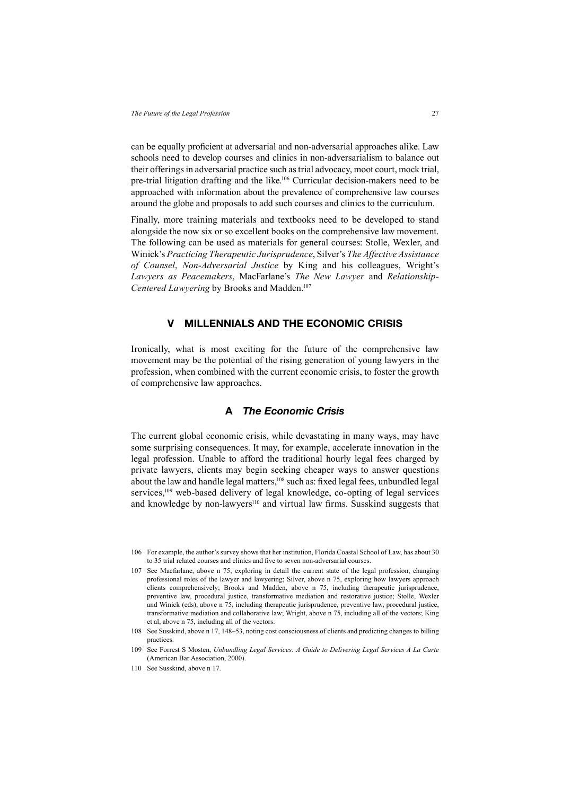can be equally proficient at adversarial and non-adversarial approaches alike. Law schools need to develop courses and clinics in non-adversarialism to balance out their offerings in adversarial practice such as trial advocacy, moot court, mock trial, pre-trial litigation drafting and the like.<sup>106</sup> Curricular decision-makers need to be approached with information about the prevalence of comprehensive law courses around the globe and proposals to add such courses and clinics to the curriculum.

Finally, more training materials and textbooks need to be developed to stand alongside the now six or so excellent books on the comprehensive law movement. The following can be used as materials for general courses: Stolle, Wexler, and Winick's *Practicing Therapeutic Jurisprudence*, Silver's *The Affective Assistance of Counsel*, *Non-Adversarial Justice* by King and his colleagues, Wright's *Lawyers as Peacemakers*, MacFarlane's *The New Lawyer* and *Relationship-Centered Lawyering* by Brooks and Madden.107

### **V MILLENNIALS AND THE ECONOMIC CRISIS**

Ironically, what is most exciting for the future of the comprehensive law movement may be the potential of the rising generation of young lawyers in the profession, when combined with the current economic crisis, to foster the growth of comprehensive law approaches.

# **A** *The Economic Crisis*

The current global economic crisis, while devastating in many ways, may have some surprising consequences. It may, for example, accelerate innovation in the legal profession. Unable to afford the traditional hourly legal fees charged by private lawyers, clients may begin seeking cheaper ways to answer questions about the law and handle legal matters,  $108$  such as: fixed legal fees, unbundled legal services,<sup>109</sup> web-based delivery of legal knowledge, co-opting of legal services and knowledge by non-lawyers<sup>110</sup> and virtual law firms. Susskind suggests that

<sup>106</sup> For example, the author's survey shows that her institution, Florida Coastal School of Law, has about 30 to 35 trial related courses and clinics and five to seven non-adversarial courses

<sup>107</sup> See Macfarlane, above n 75, exploring in detail the current state of the legal profession, changing professional roles of the lawyer and lawyering; Silver, above n 75, exploring how lawyers approach clients comprehensively; Brooks and Madden, above n 75, including therapeutic jurisprudence, preventive law, procedural justice, transformative mediation and restorative justice; Stolle, Wexler and Winick (eds), above n 75, including therapeutic jurisprudence, preventive law, procedural justice, transformative mediation and collaborative law; Wright, above n 75, including all of the vectors; King et al, above n 75, including all of the vectors.

<sup>108</sup> See Susskind, above n 17, 148–53, noting cost consciousness of clients and predicting changes to billing practices.

<sup>109</sup> See Forrest S Mosten, *Unbundling Legal Services: A Guide to Delivering Legal Services A La Carte*  (American Bar Association, 2000).

<sup>110</sup> See Susskind, above n 17.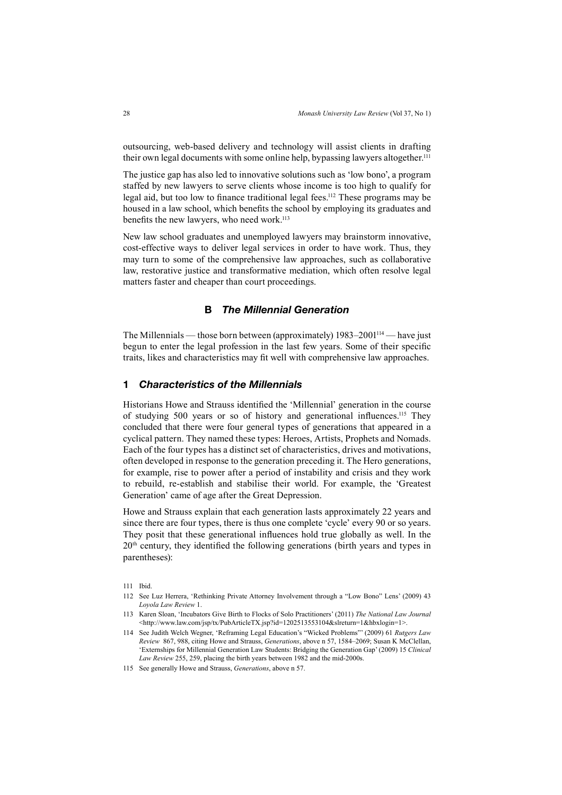outsourcing, web-based delivery and technology will assist clients in drafting their own legal documents with some online help, bypassing lawyers altogether.<sup>111</sup>

The justice gap has also led to innovative solutions such as 'low bono', a program staffed by new lawyers to serve clients whose income is too high to qualify for legal aid, but too low to finance traditional legal fees.<sup>112</sup> These programs may be housed in a law school, which benefits the school by employing its graduates and benefits the new lawyers, who need work.<sup>113</sup>

New law school graduates and unemployed lawyers may brainstorm innovative, cost-effective ways to deliver legal services in order to have work. Thus, they may turn to some of the comprehensive law approaches, such as collaborative law, restorative justice and transformative mediation, which often resolve legal matters faster and cheaper than court proceedings.

## **B** *The Millennial Generation*

The Millennials — those born between (approximately) 1983–2001114 — have just begun to enter the legal profession in the last few years. Some of their specific traits, likes and characteristics may fi t well with comprehensive law approaches.

#### **1** *Characteristics of the Millennials*

Historians Howe and Strauss identified the 'Millennial' generation in the course of studying 500 years or so of history and generational influences.<sup>115</sup> They concluded that there were four general types of generations that appeared in a cyclical pattern. They named these types: Heroes, Artists, Prophets and Nomads. Each of the four types has a distinct set of characteristics, drives and motivations, often developed in response to the generation preceding it. The Hero generations, for example, rise to power after a period of instability and crisis and they work to rebuild, re-establish and stabilise their world. For example, the 'Greatest Generation' came of age after the Great Depression.

Howe and Strauss explain that each generation lasts approximately 22 years and since there are four types, there is thus one complete 'cycle' every 90 or so years. They posit that these generational influences hold true globally as well. In the  $20<sup>th</sup>$  century, they identified the following generations (birth years and types in parentheses):

- 111 Ibid.
- 112 See Luz Herrera, 'Rethinking Private Attorney Involvement through a "Low Bono" Lens' (2009) 43 *Loyola Law Review* 1.
- 113 Karen Sloan, 'Incubators Give Birth to Flocks of Solo Practitioners' (2011) *The National Law Journal* <http://www.law.com/jsp/tx/PubArticleTX.jsp?id=1202513553104&slreturn=1&hbxlogin=1>.
- 114 See Judith Welch Wegner, 'Reframing Legal Education's "Wicked Problems"' (2009) 61 *Rutgers Law Review* 867, 988, citing Howe and Strauss, *Generations*, above n 57, 1584–2069; Susan K McClellan, 'Externships for Millennial Generation Law Students: Bridging the Generation Gap' (2009) 15 *Clinical Law Review* 255, 259, placing the birth years between 1982 and the mid-2000s.
- 115 See generally Howe and Strauss, *Generations*, above n 57.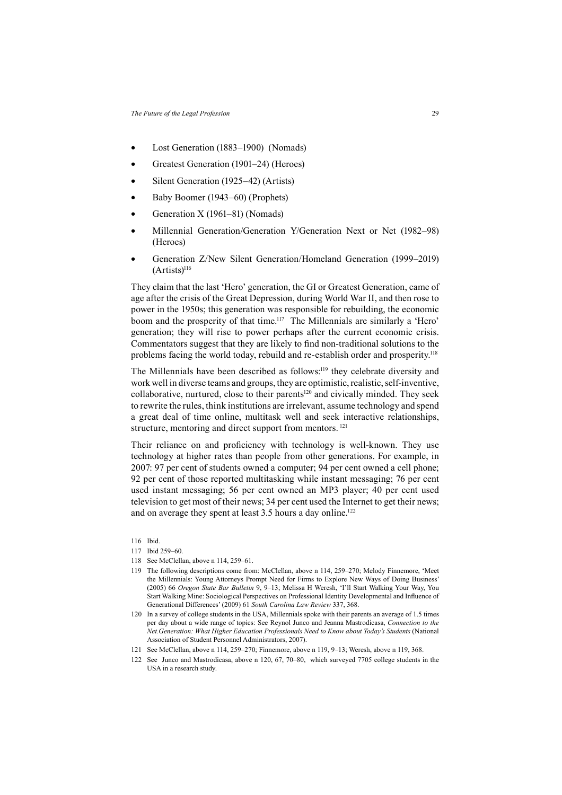- Lost Generation (1883–1900) (Nomads)
- Greatest Generation (1901–24) (Heroes)
- Silent Generation (1925–42) (Artists)
- Baby Boomer (1943–60) (Prophets)
- Generation X (1961–81) (Nomads)
- Millennial Generation/Generation Y/Generation Next or Net (1982–98) (Heroes)
- Generation Z/New Silent Generation/Homeland Generation (1999–2019)  $(Artists)<sup>116</sup>$

They claim that the last 'Hero' generation, the GI or Greatest Generation, came of age after the crisis of the Great Depression, during World War II, and then rose to power in the 1950s; this generation was responsible for rebuilding, the economic boom and the prosperity of that time.<sup>117</sup> The Millennials are similarly a 'Hero' generation; they will rise to power perhaps after the current economic crisis. Commentators suggest that they are likely to find non-traditional solutions to the problems facing the world today, rebuild and re-establish order and prosperity.<sup>118</sup>

The Millennials have been described as follows:119 they celebrate diversity and work well in diverse teams and groups, they are optimistic, realistic, self-inventive, collaborative, nurtured, close to their parents<sup>120</sup> and civically minded. They seek to rewrite the rules, think institutions are irrelevant, assume technology and spend a great deal of time online, multitask well and seek interactive relationships, structure, mentoring and direct support from mentors. <sup>121</sup>

Their reliance on and proficiency with technology is well-known. They use technology at higher rates than people from other generations. For example, in 2007: 97 per cent of students owned a computer; 94 per cent owned a cell phone; 92 per cent of those reported multitasking while instant messaging; 76 per cent used instant messaging; 56 per cent owned an MP3 player; 40 per cent used television to get most of their news; 34 per cent used the Internet to get their news; and on average they spent at least 3.5 hours a day online.<sup>122</sup>

116 Ibid.

- 117 Ibid 259–60.
- 118 See McClellan, above n 114, 259–61.
- 119 The following descriptions come from: McClellan, above n 114, 259–270; Melody Finnemore, 'Meet the Millennials: Young Attorneys Prompt Need for Firms to Explore New Ways of Doing Business' (2005) 66 *Oregon State Bar Bulletin* 9, 9–13; Melissa H Weresh, 'I'll Start Walking Your Way, You Start Walking Mine: Sociological Perspectives on Professional Identity Developmental and Influence of Generational Differences' (2009) 61 *South Carolina Law Review* 337, 368.
- 120 In a survey of college students in the USA, Millennials spoke with their parents an average of 1.5 times per day about a wide range of topics: See Reynol Junco and Jeanna Mastrodicasa, *Connection to the Net.Generation: What Higher Education Professionals Need to Know about Today's Students* (National Association of Student Personnel Administrators, 2007).
- 121 See McClellan, above n 114, 259–270; Finnemore, above n 119, 9–13; Weresh, above n 119, 368.
- 122 See Junco and Mastrodicasa, above n 120, 67, 70–80, which surveyed 7705 college students in the USA in a research study.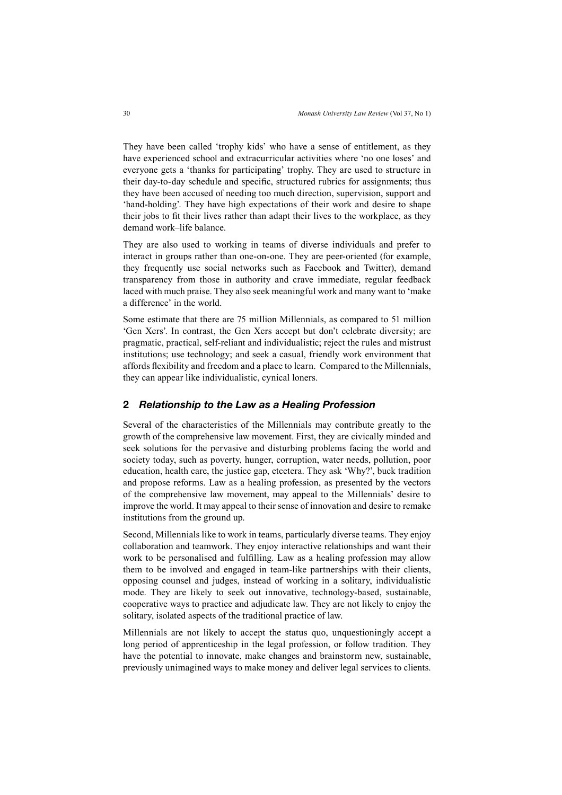They have been called 'trophy kids' who have a sense of entitlement, as they have experienced school and extracurricular activities where 'no one loses' and everyone gets a 'thanks for participating' trophy. They are used to structure in their day-to-day schedule and specific, structured rubrics for assignments; thus they have been accused of needing too much direction, supervision, support and 'hand-holding'. They have high expectations of their work and desire to shape their jobs to fit their lives rather than adapt their lives to the workplace, as they demand work–life balance.

They are also used to working in teams of diverse individuals and prefer to interact in groups rather than one-on-one. They are peer-oriented (for example, they frequently use social networks such as Facebook and Twitter), demand transparency from those in authority and crave immediate, regular feedback laced with much praise. They also seek meaningful work and many want to 'make a difference' in the world.

Some estimate that there are 75 million Millennials, as compared to 51 million 'Gen Xers'. In contrast, the Gen Xers accept but don't celebrate diversity; are pragmatic, practical, self-reliant and individualistic; reject the rules and mistrust institutions; use technology; and seek a casual, friendly work environment that affords flexibility and freedom and a place to learn. Compared to the Millennials, they can appear like individualistic, cynical loners.

### **2** *Relationship to the Law as a Healing Profession*

Several of the characteristics of the Millennials may contribute greatly to the growth of the comprehensive law movement. First, they are civically minded and seek solutions for the pervasive and disturbing problems facing the world and society today, such as poverty, hunger, corruption, water needs, pollution, poor education, health care, the justice gap, etcetera. They ask 'Why?', buck tradition and propose reforms. Law as a healing profession, as presented by the vectors of the comprehensive law movement, may appeal to the Millennials' desire to improve the world. It may appeal to their sense of innovation and desire to remake institutions from the ground up.

Second, Millennials like to work in teams, particularly diverse teams. They enjoy collaboration and teamwork. They enjoy interactive relationships and want their work to be personalised and fulfilling. Law as a healing profession may allow them to be involved and engaged in team-like partnerships with their clients, opposing counsel and judges, instead of working in a solitary, individualistic mode. They are likely to seek out innovative, technology-based, sustainable, cooperative ways to practice and adjudicate law. They are not likely to enjoy the solitary, isolated aspects of the traditional practice of law.

Millennials are not likely to accept the status quo, unquestioningly accept a long period of apprenticeship in the legal profession, or follow tradition. They have the potential to innovate, make changes and brainstorm new, sustainable, previously unimagined ways to make money and deliver legal services to clients.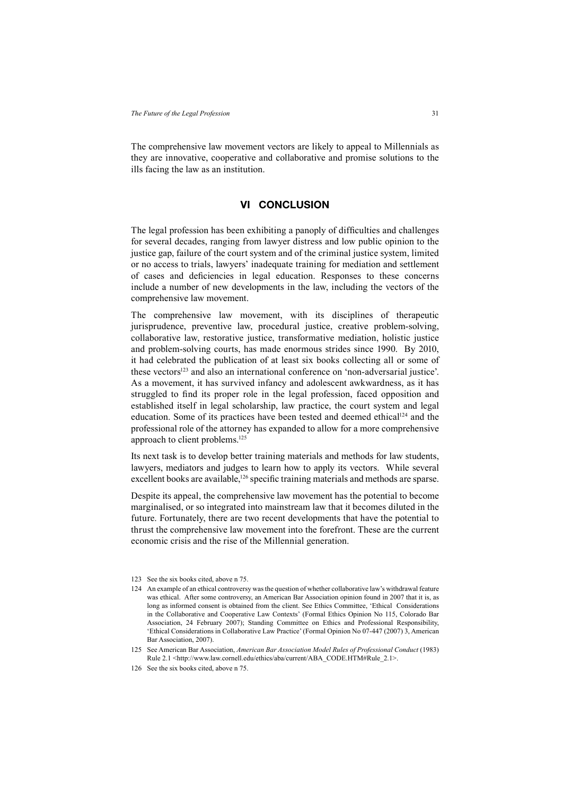The comprehensive law movement vectors are likely to appeal to Millennials as they are innovative, cooperative and collaborative and promise solutions to the ills facing the law as an institution.

# **VI CONCLUSION**

The legal profession has been exhibiting a panoply of difficulties and challenges for several decades, ranging from lawyer distress and low public opinion to the justice gap, failure of the court system and of the criminal justice system, limited or no access to trials, lawyers' inadequate training for mediation and settlement of cases and deficiencies in legal education. Responses to these concerns include a number of new developments in the law, including the vectors of the comprehensive law movement.

The comprehensive law movement, with its disciplines of therapeutic jurisprudence, preventive law, procedural justice, creative problem-solving, collaborative law, restorative justice, transformative mediation, holistic justice and problem-solving courts, has made enormous strides since 1990. By 2010, it had celebrated the publication of at least six books collecting all or some of these vectors<sup>123</sup> and also an international conference on 'non-adversarial justice'. As a movement, it has survived infancy and adolescent awkwardness, as it has struggled to find its proper role in the legal profession, faced opposition and established itself in legal scholarship, law practice, the court system and legal education. Some of its practices have been tested and deemed ethical<sup>124</sup> and the professional role of the attorney has expanded to allow for a more comprehensive approach to client problems.125

Its next task is to develop better training materials and methods for law students, lawyers, mediators and judges to learn how to apply its vectors. While several excellent books are available,<sup>126</sup> specific training materials and methods are sparse.

Despite its appeal, the comprehensive law movement has the potential to become marginalised, or so integrated into mainstream law that it becomes diluted in the future. Fortunately, there are two recent developments that have the potential to thrust the comprehensive law movement into the forefront. These are the current economic crisis and the rise of the Millennial generation.

<sup>123</sup> See the six books cited, above n 75.

<sup>124</sup> An example of an ethical controversy was the question of whether collaborative law's withdrawal feature was ethical. After some controversy, an American Bar Association opinion found in 2007 that it is, as long as informed consent is obtained from the client. See Ethics Committee, 'Ethical Considerations in the Collaborative and Cooperative Law Contexts' (Formal Ethics Opinion No 115, Colorado Bar Association, 24 February 2007); Standing Committee on Ethics and Professional Responsibility, 'Ethical Considerations in Collaborative Law Practice' (Formal Opinion No 07-447 (2007) 3, American Bar Association, 2007).

<sup>125</sup> See American Bar Association, *American Bar Association Model Rules of Professional Conduct* (1983) Rule 2.1 <http://www.law.cornell.edu/ethics/aba/current/ABA\_CODE.HTM#Rule\_2.1>.

<sup>126</sup> See the six books cited, above n 75.